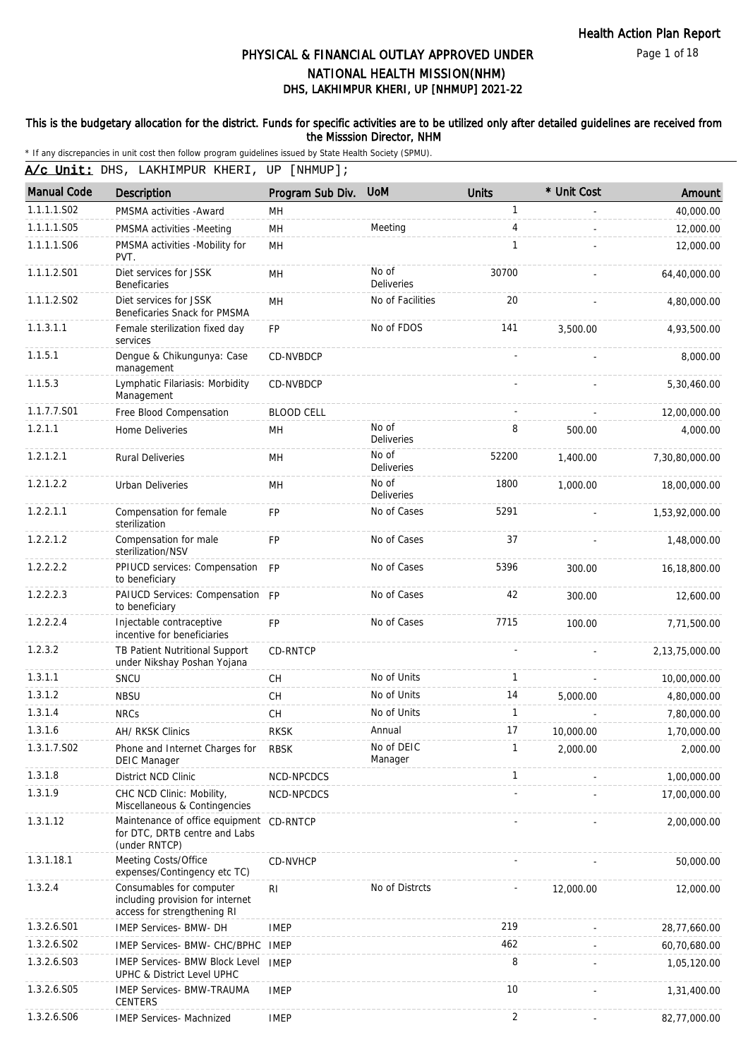Page 1 of 18

# DHS, LAKHIMPUR KHERI, UP [NHMUP] 2021-22 PHYSICAL & FINANCIAL OUTLAY APPROVED UNDER NATIONAL HEALTH MISSION(NHM)

### This is the budgetary allocation for the district. Funds for specific activities are to be utilized only after detailed guidelines are received from the Misssion Director, NHM

\* If any discrepancies in unit cost then follow program guidelines issued by State Health Society (SPMU).

A/c Unit: DHS, LAKHIMPUR KHERI, UP [NHMUP];

| <b>Manual Code</b> | Description                                                                                 | Program Sub Div.  | <b>UoM</b>                 | <b>Units</b>   | * Unit Cost | Amount         |
|--------------------|---------------------------------------------------------------------------------------------|-------------------|----------------------------|----------------|-------------|----------------|
| 1.1.1.1.S02        | PMSMA activities - Award                                                                    | MН                |                            | $\mathbf{1}$   |             | 40,000.00      |
| 1.1.1.1.S05        | PMSMA activities -Meeting                                                                   | <b>MH</b>         | Meeting                    | 4              |             | 12,000.00      |
| 1.1.1.1.S06        | PMSMA activities -Mobility for<br>PVT.                                                      | <b>MH</b>         |                            | $\mathbf{1}$   |             | 12,000.00      |
| 1.1.1.2.S01        | Diet services for JSSK<br><b>Beneficaries</b>                                               | MН                | No of<br><b>Deliveries</b> | 30700          |             | 64,40,000.00   |
| 1.1.1.2.S02        | Diet services for JSSK<br>Beneficaries Snack for PMSMA                                      | MH                | No of Facilities           | 20             |             | 4,80,000.00    |
| 1.1.3.1.1          | Female sterilization fixed day<br>services                                                  | FP                | No of FDOS                 | 141            | 3.500.00    | 4,93,500.00    |
| 1.1.5.1            | Dengue & Chikungunya: Case<br>management                                                    | CD-NVBDCP         |                            |                |             | 8,000.00       |
| 1.1.5.3            | Lymphatic Filariasis: Morbidity<br>Management                                               | CD-NVBDCP         |                            |                |             | 5,30,460.00    |
| 1.1.7.7.S01        | Free Blood Compensation                                                                     | <b>BLOOD CELL</b> |                            |                |             | 12,00,000.00   |
| 1.2.1.1            | Home Deliveries                                                                             | MН                | No of<br><b>Deliveries</b> | 8              | 500.00      | 4,000.00       |
| 1.2.1.2.1          | <b>Rural Deliveries</b>                                                                     | <b>MH</b>         | No of<br>Deliveries        | 52200          | 1,400.00    | 7,30,80,000.00 |
| 1.2.1.2.2          | Urban Deliveries                                                                            | MН                | No of<br><b>Deliveries</b> | 1800           | 1,000.00    | 18,00,000.00   |
| 1.2.2.1.1          | Compensation for female<br>sterilization                                                    | <b>FP</b>         | No of Cases                | 5291           |             | 1,53,92,000.00 |
| 1.2.2.1.2          | Compensation for male<br>sterilization/NSV                                                  | <b>FP</b>         | No of Cases                | 37             |             | 1,48,000.00    |
| 1.2.2.2.2          | PPIUCD services: Compensation FP<br>to beneficiary                                          |                   | No of Cases                | 5396           | 300.00      | 16,18,800.00   |
| 1.2.2.2.3          | PAIUCD Services: Compensation FP<br>to beneficiary                                          |                   | No of Cases                | 42             | 300.00      | 12,600.00      |
| 1.2.2.2.4          | Injectable contraceptive<br>incentive for beneficiaries                                     | <b>FP</b>         | No of Cases                | 7715           | 100.00      | 7,71,500.00    |
| 1.2.3.2            | TB Patient Nutritional Support<br>under Nikshay Poshan Yojana                               | <b>CD-RNTCP</b>   |                            |                |             | 2,13,75,000.00 |
| 1.3.1.1            | SNCU                                                                                        | <b>CH</b>         | No of Units                | $\mathbf{1}$   |             | 10,00,000.00   |
| 1.3.1.2            | <b>NBSU</b>                                                                                 | <b>CH</b>         | No of Units                | 14             | 5,000.00    | 4,80,000.00    |
| 1.3.1.4            | <b>NRCs</b>                                                                                 | <b>CH</b>         | No of Units                | $\mathbf{1}$   |             | 7,80,000.00    |
| 1.3.1.6            | AH/ RKSK Clinics                                                                            | <b>RKSK</b>       | Annual                     | 17             | 10,000.00   | 1,70,000.00    |
| 1.3.1.7.S02        | Phone and Internet Charges for<br><b>DEIC Manager</b>                                       | <b>RBSK</b>       | No of DEIC<br>Manager      |                | 2,000.00    | 2,000.00       |
| 1.3.1.8            | District NCD Clinic                                                                         | NCD-NPCDCS        |                            | $\mathbf{1}$   |             | 1,00,000.00    |
| 1.3.1.9            | CHC NCD Clinic: Mobility,<br>Miscellaneous & Contingencies                                  | NCD-NPCDCS        |                            |                |             | 17,00,000.00   |
| 1.3.1.12           | Maintenance of office equipment CD-RNTCP<br>for DTC, DRTB centre and Labs<br>(under RNTCP)  |                   |                            |                |             | 2,00,000.00    |
| 1.3.1.18.1         | Meeting Costs/Office<br>expenses/Contingency etc TC)                                        | CD-NVHCP          |                            |                |             | 50,000.00      |
| 1.3.2.4            | Consumables for computer<br>including provision for internet<br>access for strengthening RI | <b>RI</b>         | No of Distrcts             |                | 12,000.00   | 12,000.00      |
| 1.3.2.6.S01        | IMEP Services- BMW- DH                                                                      | <b>IMEP</b>       |                            | 219            |             | 28,77,660.00   |
| 1.3.2.6.S02        | IMEP Services- BMW- CHC/BPHC                                                                | IMEP              |                            | 462            |             | 60,70,680.00   |
| 1.3.2.6.S03        | <b>IMEP Services- BMW Block Level</b><br>UPHC & District Level UPHC                         | <b>IMEP</b>       |                            | 8              |             | 1,05,120.00    |
| 1.3.2.6.S05        | <b>IMEP Services- BMW-TRAUMA</b><br><b>CENTERS</b>                                          | <b>IMEP</b>       |                            | 10             |             | 1,31,400.00    |
| 1.3.2.6.S06        | IMEP Services- Machnized                                                                    | <b>IMEP</b>       |                            | $\overline{2}$ |             | 82,77,000.00   |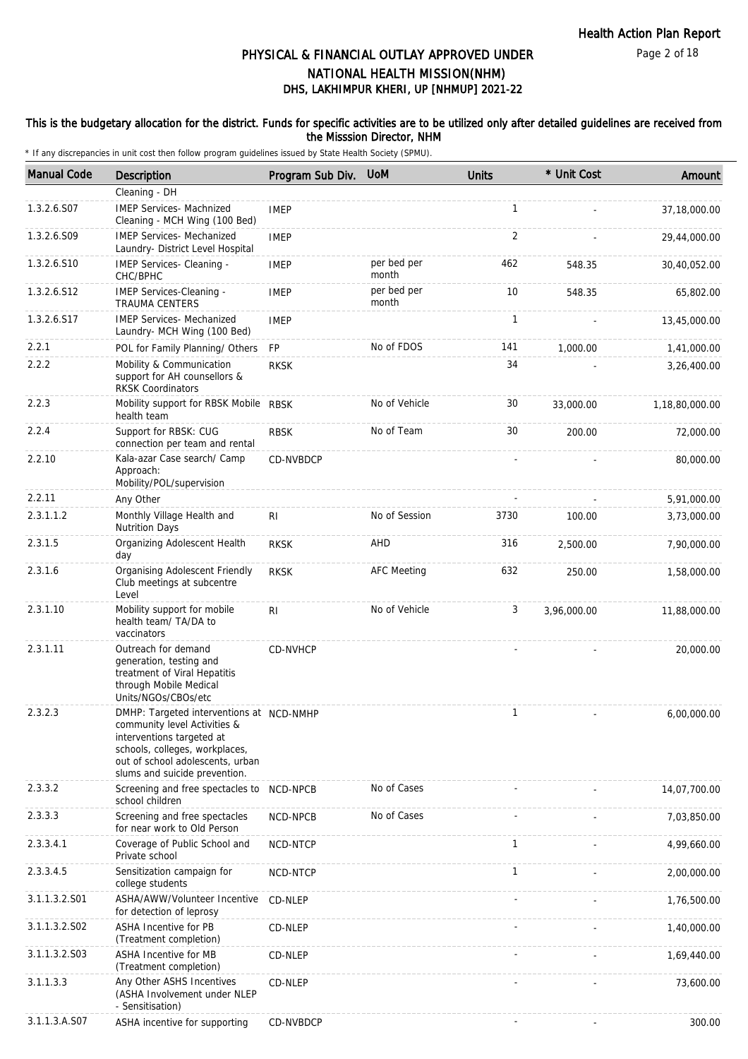#### Page 2 of 18

## DHS, LAKHIMPUR KHERI, UP [NHMUP] 2021-22 PHYSICAL & FINANCIAL OUTLAY APPROVED UNDER NATIONAL HEALTH MISSION(NHM)

### This is the budgetary allocation for the district. Funds for specific activities are to be utilized only after detailed guidelines are received from the Misssion Director, NHM

| <b>Manual Code</b> | Description                                                                                                                                                                                                  | Program Sub Div. | <b>UoM</b>           | <b>Units</b> | * Unit Cost | Amount         |
|--------------------|--------------------------------------------------------------------------------------------------------------------------------------------------------------------------------------------------------------|------------------|----------------------|--------------|-------------|----------------|
|                    | Cleaning - DH                                                                                                                                                                                                |                  |                      |              |             |                |
| 1.3.2.6.S07        | <b>IMEP Services- Machnized</b><br>Cleaning - MCH Wing (100 Bed)                                                                                                                                             | <b>IMEP</b>      |                      | $\mathbf{1}$ |             | 37,18,000.00   |
| 1.3.2.6.S09        | <b>IMEP Services- Mechanized</b><br>Laundry- District Level Hospital                                                                                                                                         | <b>IMEP</b>      |                      | 2            |             | 29,44,000.00   |
| 1.3.2.6.S10        | IMEP Services- Cleaning -<br>CHC/BPHC                                                                                                                                                                        | <b>IMEP</b>      | per bed per<br>month | 462          | 548.35      | 30,40,052.00   |
| 1.3.2.6.S12        | IMEP Services-Cleaning -<br><b>TRAUMA CENTERS</b>                                                                                                                                                            | <b>IMEP</b>      | per bed per<br>month | 10           | 548.35      | 65,802.00      |
| 1.3.2.6.S17        | <b>IMEP Services- Mechanized</b><br>Laundry- MCH Wing (100 Bed)                                                                                                                                              | <b>IMEP</b>      |                      | $\mathbf{1}$ |             | 13,45,000.00   |
| 2.2.1              | POL for Family Planning/ Others                                                                                                                                                                              | <b>FP</b>        | No of FDOS           | 141          | 1,000.00    | 1,41,000.00    |
| 2.2.2              | Mobility & Communication<br>support for AH counsellors &<br><b>RKSK Coordinators</b>                                                                                                                         | <b>RKSK</b>      |                      | 34           |             | 3,26,400.00    |
| 2.2.3              | Mobility support for RBSK Mobile RBSK<br>health team                                                                                                                                                         |                  | No of Vehicle        | 30           | 33,000.00   | 1,18,80,000.00 |
| 2.2.4              | Support for RBSK: CUG<br>connection per team and rental                                                                                                                                                      | <b>RBSK</b>      | No of Team           | 30           | 200.00      | 72,000.00      |
| 2.2.10             | Kala-azar Case search/ Camp<br>Approach:<br>Mobility/POL/supervision                                                                                                                                         | CD-NVBDCP        |                      |              |             | 80,000.00      |
| 2.2.11             | Any Other                                                                                                                                                                                                    |                  |                      |              |             | 5,91,000.00    |
| 2.3.1.1.2          | Monthly Village Health and<br><b>Nutrition Days</b>                                                                                                                                                          | RI               | No of Session        | 3730         | 100.00      | 3,73,000.00    |
| 2.3.1.5            | Organizing Adolescent Health<br>day                                                                                                                                                                          | <b>RKSK</b>      | AHD                  | 316          | 2,500.00    | 7,90,000.00    |
| 2.3.1.6            | Organising Adolescent Friendly<br>Club meetings at subcentre<br>Level                                                                                                                                        | <b>RKSK</b>      | <b>AFC Meeting</b>   | 632          | 250.00      | 1,58,000.00    |
| 2.3.1.10           | Mobility support for mobile<br>health team/ TA/DA to<br>vaccinators                                                                                                                                          | RI               | No of Vehicle        | 3            | 3,96,000.00 | 11,88,000.00   |
| 2.3.1.11           | Outreach for demand<br>generation, testing and<br>treatment of Viral Hepatitis<br>through Mobile Medical<br>Units/NGOs/CBOs/etc                                                                              | CD-NVHCP         |                      |              |             | 20,000.00      |
| 2.3.2.3            | DMHP: Targeted interventions at NCD-NMHP<br>community level Activities &<br>interventions targeted at<br>schools, colleges, workplaces,<br>out of school adolescents, urban<br>slums and suicide prevention. |                  |                      | $\mathbf{1}$ |             | 6,00,000.00    |
| 2.3.3.2            | Screening and free spectacles to<br>school children                                                                                                                                                          | NCD-NPCB         | No of Cases          |              |             | 14,07,700.00   |
| 2.3.3.3            | Screening and free spectacles<br>for near work to Old Person                                                                                                                                                 | NCD-NPCB         | No of Cases          |              |             | 7,03,850.00    |
| 2.3.3.4.1          | Coverage of Public School and<br>Private school                                                                                                                                                              | NCD-NTCP         |                      | $\mathbf{1}$ |             | 4,99,660.00    |
| 2.3.3.4.5          | Sensitization campaign for<br>college students                                                                                                                                                               | NCD-NTCP         |                      | $\mathbf{1}$ |             | 2,00,000.00    |
| 3.1.1.3.2.S01      | ASHA/AWW/Volunteer Incentive<br>for detection of leprosy                                                                                                                                                     | CD-NLEP          |                      |              |             | 1,76,500.00    |
| 3.1.1.3.2.S02      | <b>ASHA Incentive for PB</b><br>(Treatment completion)                                                                                                                                                       | CD-NLEP          |                      |              |             | 1,40,000.00    |
| 3.1.1.3.2.S03      | ASHA Incentive for MB<br>(Treatment completion)                                                                                                                                                              | CD-NLEP          |                      |              |             | 1,69,440.00    |
| 3.1.1.3.3          | Any Other ASHS Incentives<br>(ASHA Involvement under NLEP<br>- Sensitisation)                                                                                                                                | CD-NLEP          |                      |              |             | 73,600.00      |
| 3.1.1.3.A.S07      | ASHA incentive for supporting                                                                                                                                                                                | CD-NVBDCP        |                      |              |             | 300.00         |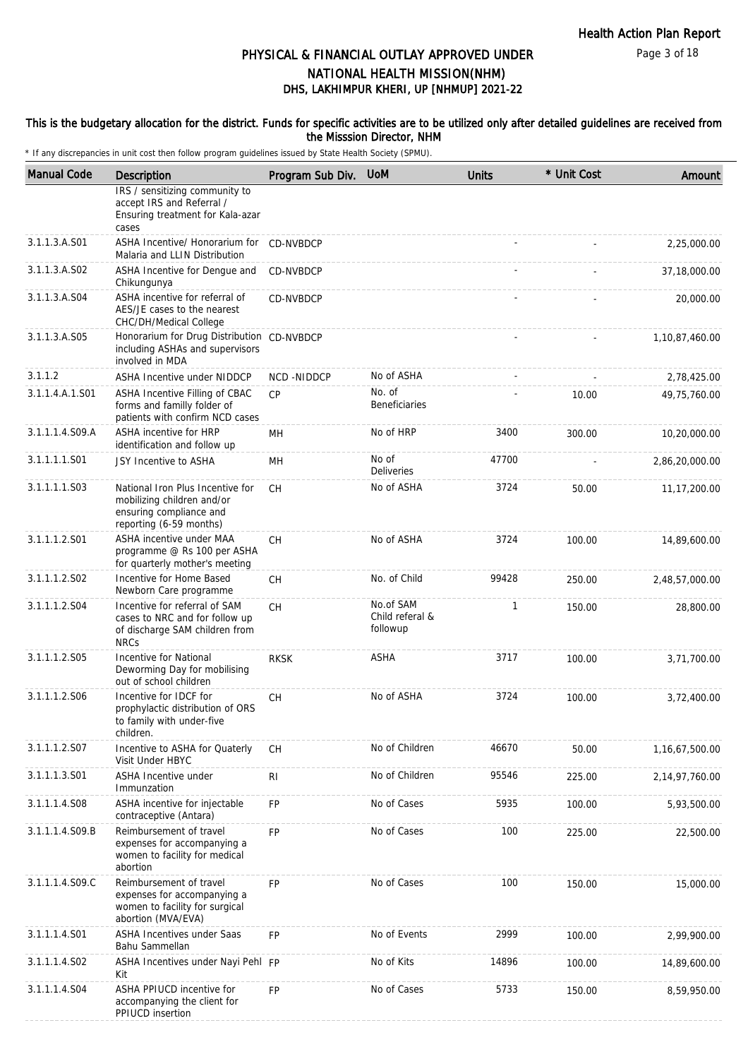### This is the budgetary allocation for the district. Funds for specific activities are to be utilized only after detailed guidelines are received from the Misssion Director, NHM

| <b>Manual Code</b> | Description                                                                                                          | Program Sub Div. | <b>UoM</b>                               | <b>Units</b> | * Unit Cost | Amount            |
|--------------------|----------------------------------------------------------------------------------------------------------------------|------------------|------------------------------------------|--------------|-------------|-------------------|
|                    | IRS / sensitizing community to<br>accept IRS and Referral /<br>Ensuring treatment for Kala-azar<br>cases             |                  |                                          |              |             |                   |
| 3.1.1.3.A.S01      | ASHA Incentive/ Honorarium for CD-NVBDCP<br>Malaria and LLIN Distribution                                            |                  |                                          |              |             | 2,25,000.00       |
| 3.1.1.3.A.S02      | ASHA Incentive for Dengue and<br>Chikungunya                                                                         | CD-NVBDCP        |                                          |              |             | 37,18,000.00      |
| 3.1.1.3.A.S04      | ASHA incentive for referral of<br>AES/JE cases to the nearest<br>CHC/DH/Medical College                              | CD-NVBDCP        |                                          |              |             | 20,000.00         |
| 3.1.1.3.A.S05      | Honorarium for Drug Distribution CD-NVBDCP<br>including ASHAs and supervisors<br>involved in MDA                     |                  |                                          |              |             | 1,10,87,460.00    |
| 3.1.1.2            | <b>ASHA Incentive under NIDDCP</b>                                                                                   | NCD-NIDDCP       | No of ASHA                               |              |             | 2,78,425.00       |
| 3.1.1.4.A.1.S01    | ASHA Incentive Filling of CBAC<br>forms and familly folder of<br>patients with confirm NCD cases                     | CP               | No. of<br><b>Beneficiaries</b>           |              | 10.00       | 49,75,760.00      |
| 3.1.1.1.4.S09.A    | ASHA incentive for HRP<br>identification and follow up                                                               | MH               | No of HRP                                | 3400         | 300.00      | 10,20,000.00      |
| 3.1.1.1.1.S01      | JSY Incentive to ASHA                                                                                                | MH               | No of<br>Deliveries                      | 47700        |             | 2,86,20,000.00    |
| 3.1.1.1.1.S03      | National Iron Plus Incentive for<br>mobilizing children and/or<br>ensuring compliance and<br>reporting (6-59 months) | <b>CH</b>        | No of ASHA                               | 3724         | 50.00       | 11, 17, 200.00    |
| 3.1.1.1.2.S01      | ASHA incentive under MAA<br>programme @ Rs 100 per ASHA<br>for quarterly mother's meeting                            | <b>CH</b>        | No of ASHA                               | 3724         | 100.00      | 14,89,600.00      |
| 3.1.1.1.2.S02      | Incentive for Home Based<br>Newborn Care programme                                                                   | <b>CH</b>        | No. of Child                             | 99428        | 250.00      | 2,48,57,000.00    |
| 3.1.1.1.2.S04      | Incentive for referral of SAM<br>cases to NRC and for follow up<br>of discharge SAM children from<br><b>NRCs</b>     | CH               | No.of SAM<br>Child referal &<br>followup | 1            | 150.00      | 28,800.00         |
| 3.1.1.1.2.S05      | Incentive for National<br>Deworming Day for mobilising<br>out of school children                                     | <b>RKSK</b>      | <b>ASHA</b>                              | 3717         | 100.00      | 3,71,700.00       |
| 3.1.1.1.2.S06      | Incentive for IDCF for<br>prophylactic distribution of ORS<br>to family with under-five<br>children.                 | СH               | No of ASHA                               | 3724         | 100.00      | 3,72,400.00       |
| 3.1.1.1.2.S07      | Incentive to ASHA for Quaterly<br>Visit Under HBYC                                                                   | СH               | No of Children                           | 46670        | 50.00       | 1, 16, 67, 500.00 |
| 3.1.1.1.3.S01      | ASHA Incentive under<br>Immunzation                                                                                  | R <sub>1</sub>   | No of Children                           | 95546        | 225.00      | 2,14,97,760.00    |
| 3.1.1.1.4.S08      | ASHA incentive for injectable<br>contraceptive (Antara)                                                              | FP               | No of Cases                              | 5935         | 100.00      | 5,93,500.00       |
| 3.1.1.1.4.S09.B    | Reimbursement of travel<br>expenses for accompanying a<br>women to facility for medical<br>abortion                  | FP               | No of Cases                              | 100          | 225.00      | 22,500.00         |
| 3.1.1.1.4.S09.C    | Reimbursement of travel<br>expenses for accompanying a<br>women to facility for surgical<br>abortion (MVA/EVA)       | <b>FP</b>        | No of Cases                              | 100          | 150.00      | 15,000.00         |
| 3.1.1.1.4.S01      | <b>ASHA Incentives under Saas</b><br>Bahu Sammellan                                                                  | <b>FP</b>        | No of Events                             | 2999         | 100.00      | 2,99,900.00       |
| 3.1.1.1.4.S02      | ASHA Incentives under Nayi Pehl FP<br>Kit                                                                            |                  | No of Kits                               | 14896        | 100.00      | 14,89,600.00      |
| 3.1.1.1.4.S04      | ASHA PPIUCD incentive for<br>accompanying the client for<br>PPIUCD insertion                                         | <b>FP</b>        | No of Cases                              | 5733         | 150.00      | 8,59,950.00       |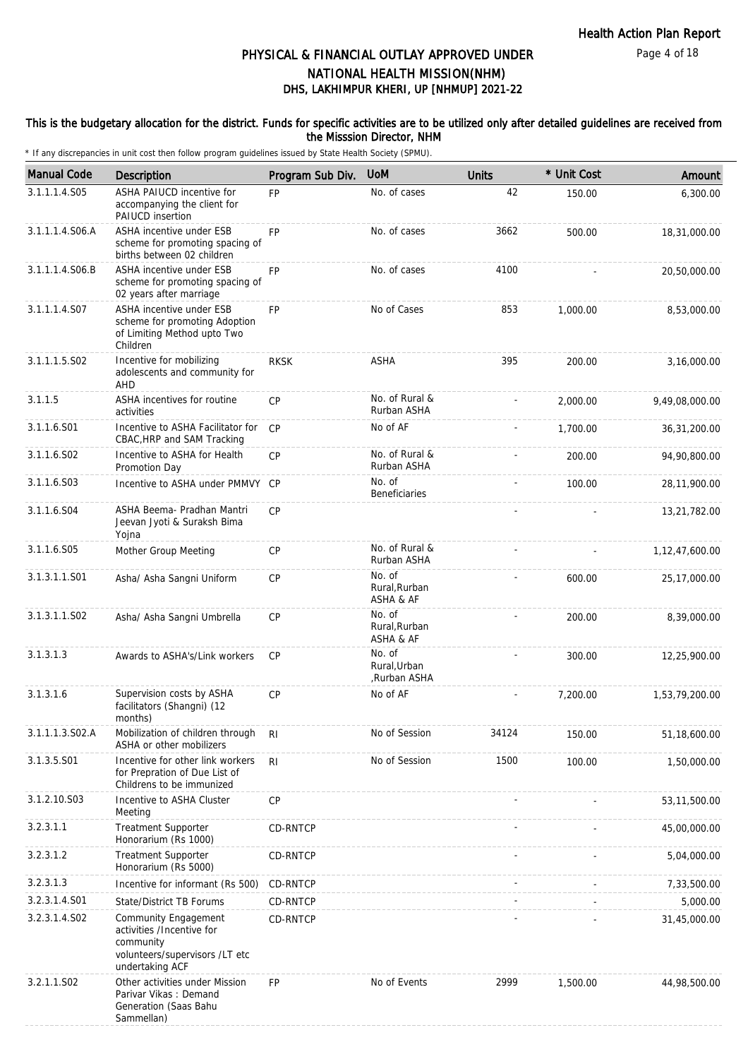### This is the budgetary allocation for the district. Funds for specific activities are to be utilized only after detailed guidelines are received from the Misssion Director, NHM

| <b>Manual Code</b> | Description                                                                                                         | Program Sub Div. | <b>UoM</b>                             | <b>Units</b> | * Unit Cost | Amount         |
|--------------------|---------------------------------------------------------------------------------------------------------------------|------------------|----------------------------------------|--------------|-------------|----------------|
| 3.1.1.1.4.S05      | <b>ASHA PAIUCD incentive for</b><br>accompanying the client for<br>PAIUCD insertion                                 | <b>FP</b>        | No. of cases                           | 42           | 150.00      | 6,300.00       |
| 3.1.1.1.4.S06.A    | ASHA incentive under ESB<br>scheme for promoting spacing of<br>births between 02 children                           | <b>FP</b>        | No. of cases                           | 3662         | 500.00      | 18,31,000.00   |
| 3.1.1.1.4.S06.B    | ASHA incentive under ESB<br>scheme for promoting spacing of<br>02 years after marriage                              | <b>FP</b>        | No. of cases                           | 4100         |             | 20,50,000.00   |
| 3.1.1.1.4.S07      | ASHA incentive under ESB<br>scheme for promoting Adoption<br>of Limiting Method upto Two<br>Children                | <b>FP</b>        | No of Cases                            | 853          | 1,000.00    | 8,53,000.00    |
| 3.1.1.1.5.S02      | Incentive for mobilizing<br>adolescents and community for<br><b>AHD</b>                                             | <b>RKSK</b>      | <b>ASHA</b>                            | 395          | 200.00      | 3,16,000.00    |
| 3.1.1.5            | ASHA incentives for routine<br>activities                                                                           | CP               | No. of Rural &<br>Rurban ASHA          |              | 2,000.00    | 9,49,08,000.00 |
| 3.1.1.6.S01        | Incentive to ASHA Facilitator for<br>CBAC, HRP and SAM Tracking                                                     | CP               | No of AF                               |              | 1,700.00    | 36,31,200.00   |
| 3.1.1.6.S02        | Incentive to ASHA for Health<br>Promotion Day                                                                       | CP               | No. of Rural &<br>Rurban ASHA          |              | 200.00      | 94,90,800.00   |
| 3.1.1.6.S03        | Incentive to ASHA under PMMVY CP                                                                                    |                  | No. of<br><b>Beneficiaries</b>         |              | 100.00      | 28,11,900.00   |
| 3.1.1.6.S04        | ASHA Beema- Pradhan Mantri<br>Jeevan Jyoti & Suraksh Bima<br>Yojna                                                  | CP               |                                        |              |             | 13,21,782.00   |
| 3.1.1.6.S05        | Mother Group Meeting                                                                                                | CP               | No. of Rural &<br>Rurban ASHA          |              |             | 1,12,47,600.00 |
| 3.1.3.1.1.S01      | Asha/ Asha Sangni Uniform                                                                                           | <b>CP</b>        | No. of<br>Rural, Rurban<br>ASHA & AF   |              | 600.00      | 25,17,000.00   |
| 3.1.3.1.1.S02      | Asha/ Asha Sangni Umbrella                                                                                          | CP               | No. of<br>Rural, Rurban<br>ASHA & AF   |              | 200.00      | 8,39,000.00    |
| 3.1.3.1.3          | Awards to ASHA's/Link workers                                                                                       | CP               | No. of<br>Rural, Urban<br>,Rurban ASHA |              | 300.00      | 12,25,900.00   |
| 3.1.3.1.6          | Supervision costs by ASHA<br>facilitators (Shangni) (12<br>months)                                                  | CP               | No of AF                               |              | 7.200.00    | 1,53,79,200.00 |
| 3.1.1.1.3.S02.A    | Mobilization of children through<br>ASHA or other mobilizers                                                        | R <sub>l</sub>   | No of Session                          | 34124        | 150.00      | 51,18,600.00   |
| 3.1.3.5.S01        | Incentive for other link workers<br>for Prepration of Due List of<br>Childrens to be immunized                      | R <sub>l</sub>   | No of Session                          | 1500         | 100.00      | 1,50,000.00    |
| 3.1.2.10.S03       | Incentive to ASHA Cluster<br>Meeting                                                                                | CP               |                                        |              |             | 53,11,500.00   |
| 3.2.3.1.1          | <b>Treatment Supporter</b><br>Honorarium (Rs 1000)                                                                  | CD-RNTCP         |                                        |              |             | 45,00,000.00   |
| 3.2.3.1.2          | <b>Treatment Supporter</b><br>Honorarium (Rs 5000)                                                                  | <b>CD-RNTCP</b>  |                                        |              |             | 5,04,000.00    |
| 3.2.3.1.3          | Incentive for informant (Rs 500)                                                                                    | CD-RNTCP         |                                        |              |             | 7,33,500.00    |
| 3.2.3.1.4.S01      | State/District TB Forums                                                                                            | <b>CD-RNTCP</b>  |                                        |              |             | 5,000.00       |
| 3.2.3.1.4.S02      | Community Engagement<br>activities /Incentive for<br>community<br>volunteers/supervisors /LT etc<br>undertaking ACF | CD-RNTCP         |                                        |              |             | 31,45,000.00   |
| 3.2.1.1.S02        | Other activities under Mission<br>Parivar Vikas: Demand<br>Generation (Saas Bahu<br>Sammellan)                      | <b>FP</b>        | No of Events                           | 2999         | 1,500.00    | 44,98,500.00   |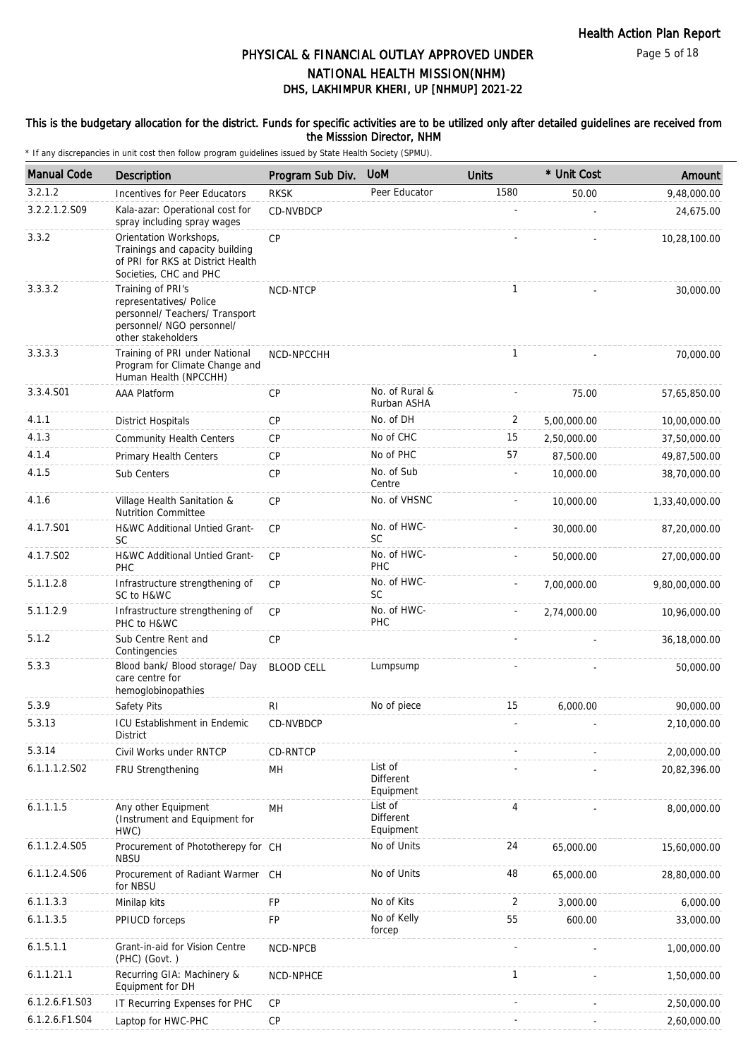Page 5 of 18

# DHS, LAKHIMPUR KHERI, UP [NHMUP] 2021-22 PHYSICAL & FINANCIAL OUTLAY APPROVED UNDER NATIONAL HEALTH MISSION(NHM)

### This is the budgetary allocation for the district. Funds for specific activities are to be utilized only after detailed guidelines are received from the Misssion Director, NHM

| <b>Manual Code</b> | <b>Description</b>                                                                                                                | Program Sub Div.  | <b>UoM</b>                        | <b>Units</b> | * Unit Cost | Amount         |
|--------------------|-----------------------------------------------------------------------------------------------------------------------------------|-------------------|-----------------------------------|--------------|-------------|----------------|
| 3.2.1.2            | Incentives for Peer Educators                                                                                                     | <b>RKSK</b>       | Peer Educator                     | 1580         | 50.00       | 9,48,000.00    |
| 3.2.2.1.2.S09      | Kala-azar: Operational cost for<br>spray including spray wages                                                                    | CD-NVBDCP         |                                   |              |             | 24,675.00      |
| 3.3.2              | Orientation Workshops,<br>Trainings and capacity building<br>of PRI for RKS at District Health<br>Societies, CHC and PHC          | CP                |                                   |              |             | 10,28,100.00   |
| 3.3.3.2            | Training of PRI's<br>representatives/ Police<br>personnel/ Teachers/ Transport<br>personnel/ NGO personnel/<br>other stakeholders | NCD-NTCP          |                                   | $\mathbf{1}$ |             | 30,000.00      |
| 3.3.3.3            | Training of PRI under National<br>Program for Climate Change and<br>Human Health (NPCCHH)                                         | NCD-NPCCHH        |                                   | $\mathbf{1}$ |             | 70,000.00      |
| 3.3.4.S01          | AAA Platform                                                                                                                      | <b>CP</b>         | No. of Rural &<br>Rurban ASHA     |              | 75.00       | 57,65,850.00   |
| 4.1.1              | <b>District Hospitals</b>                                                                                                         | <b>CP</b>         | No. of DH                         | 2            | 5,00,000.00 | 10,00,000.00   |
| 4.1.3              | <b>Community Health Centers</b>                                                                                                   | <b>CP</b>         | No of CHC                         | 15           | 2,50,000.00 | 37,50,000.00   |
| 4.1.4              | Primary Health Centers                                                                                                            | <b>CP</b>         | No of PHC                         | 57           | 87,500.00   | 49,87,500.00   |
| 4.1.5              | Sub Centers                                                                                                                       | <b>CP</b>         | No. of Sub<br>Centre              |              | 10,000.00   | 38,70,000.00   |
| 4.1.6              | Village Health Sanitation &<br><b>Nutrition Committee</b>                                                                         | <b>CP</b>         | No. of VHSNC                      |              | 10,000.00   | 1,33,40,000.00 |
| 4.1.7.S01          | H&WC Additional Untied Grant-<br>SC                                                                                               | <b>CP</b>         | No. of HWC-<br><b>SC</b>          |              | 30,000.00   | 87,20,000.00   |
| 4.1.7.S02          | H&WC Additional Untied Grant-<br>PHC                                                                                              | CP                | No. of HWC-<br><b>PHC</b>         |              | 50,000.00   | 27,00,000.00   |
| 5.1.1.2.8          | Infrastructure strengthening of<br>SC to H&WC                                                                                     | <b>CP</b>         | No. of HWC-<br><b>SC</b>          |              | 7,00,000.00 | 9,80,00,000.00 |
| 5.1.1.2.9          | Infrastructure strengthening of<br>PHC to H&WC                                                                                    | <b>CP</b>         | No. of HWC-<br>PHC                |              | 2,74,000.00 | 10,96,000.00   |
| 5.1.2              | Sub Centre Rent and<br>Contingencies                                                                                              | CP                |                                   |              |             | 36,18,000.00   |
| 5.3.3              | Blood bank/ Blood storage/ Day<br>care centre for<br>hemoglobinopathies                                                           | <b>BLOOD CELL</b> | Lumpsump                          |              |             | 50,000.00      |
| 5.3.9              | Safety Pits                                                                                                                       | RI                | No of piece                       | 15           | 6,000.00    | 90,000.00      |
| 5.3.13             | ICU Establishment in Endemic<br>District                                                                                          | CD-NVBDCP         |                                   |              |             | 2,10,000.00    |
| 5.3.14             | Civil Works under RNTCP                                                                                                           | CD-RNTCP          |                                   |              |             | 2,00,000.00    |
| 6.1.1.1.2.S02      | FRU Strengthening                                                                                                                 | MH                | List of<br>Different<br>Equipment |              |             | 20,82,396.00   |
| 6.1.1.1.5          | Any other Equipment<br>(Instrument and Equipment for<br>HWC)                                                                      | MН                | List of<br>Different<br>Equipment | 4            |             | 8,00,000.00    |
| 6.1.1.2.4.S05      | Procurement of Phototherepy for CH<br><b>NBSU</b>                                                                                 |                   | No of Units                       | 24           | 65,000.00   | 15,60,000.00   |
| 6.1.1.2.4.S06      | Procurement of Radiant Warmer<br>for NBSU                                                                                         | CH                | No of Units                       | 48           | 65,000.00   | 28,80,000.00   |
| 6.1.1.3.3          | Minilap kits                                                                                                                      | FP                | No of Kits                        | 2            | 3,000.00    | 6,000.00       |
| 6.1.1.3.5          | PPIUCD forceps                                                                                                                    | FP                | No of Kelly<br>forcep             | 55           | 600.00      | 33,000.00      |
| 6.1.5.1.1          | Grant-in-aid for Vision Centre<br>(PHC) (Govt.)                                                                                   | NCD-NPCB          |                                   |              |             | 1,00,000.00    |
| 6.1.1.21.1         | Recurring GIA: Machinery &<br>Equipment for DH                                                                                    | NCD-NPHCE         |                                   | $\mathbf{1}$ |             | 1,50,000.00    |
| 6.1.2.6.F1.S03     | IT Recurring Expenses for PHC                                                                                                     | CP                |                                   |              |             | 2,50,000.00    |
| 6.1.2.6.F1.S04     | Laptop for HWC-PHC                                                                                                                | CP                |                                   |              |             | 2,60,000.00    |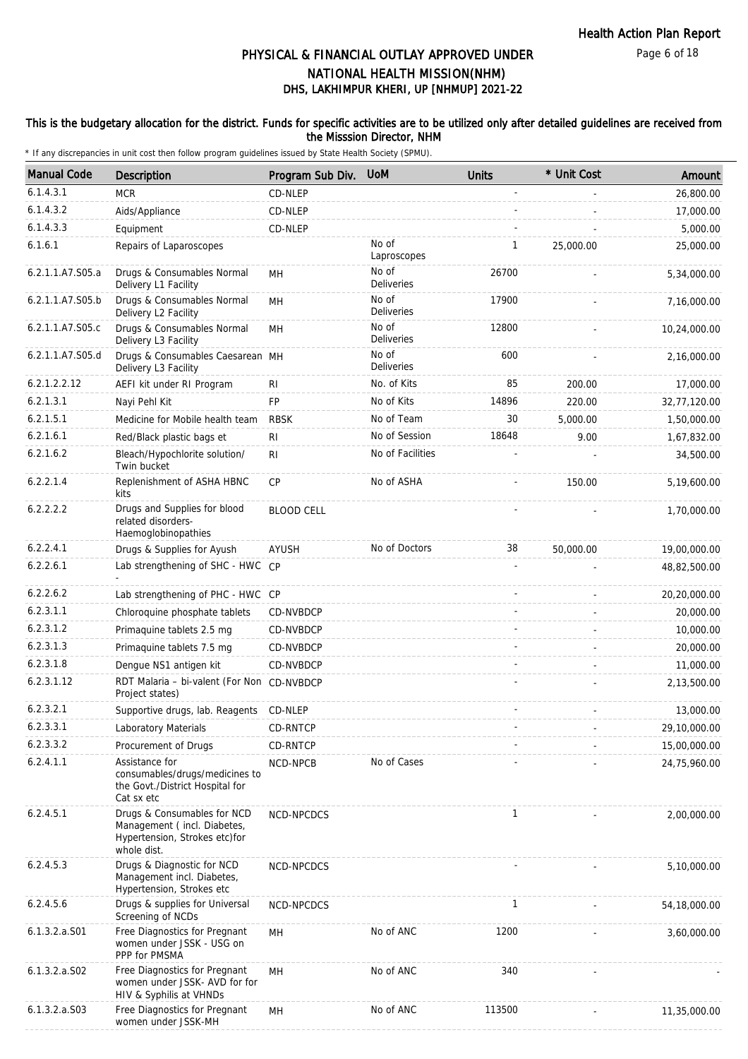### This is the budgetary allocation for the district. Funds for specific activities are to be utilized only after detailed guidelines are received from the Misssion Director, NHM

| <b>Manual Code</b> | <b>Description</b>                                                                                         | Program Sub Div.  | <b>UoM</b>                 | <b>Units</b> | * Unit Cost | Amount       |
|--------------------|------------------------------------------------------------------------------------------------------------|-------------------|----------------------------|--------------|-------------|--------------|
| 6.1.4.3.1          | <b>MCR</b>                                                                                                 | CD-NLEP           |                            |              |             | 26,800.00    |
| 6.1.4.3.2          | Aids/Appliance                                                                                             | CD-NLEP           |                            |              |             | 17,000.00    |
| 6.1.4.3.3          | Equipment                                                                                                  | CD-NLEP           |                            |              |             | 5,000.00     |
| 6.1.6.1            | Repairs of Laparoscopes                                                                                    |                   | No of<br>Laproscopes       | 1            | 25,000.00   | 25,000.00    |
| 6.2.1.1.A7.S05.a   | Drugs & Consumables Normal<br>Delivery L1 Facility                                                         | <b>MH</b>         | No of<br><b>Deliveries</b> | 26700        |             | 5,34,000.00  |
| 6.2.1.1.A7.S05.b   | Drugs & Consumables Normal<br>Delivery L2 Facility                                                         | MH                | No of<br>Deliveries        | 17900        |             | 7,16,000.00  |
| 6.2.1.1.A7.S05.c   | Drugs & Consumables Normal<br>Delivery L3 Facility                                                         | MH                | No of<br>Deliveries        | 12800        |             | 10,24,000.00 |
| 6.2.1.1.A7.S05.d   | Drugs & Consumables Caesarean MH<br>Delivery L3 Facility                                                   |                   | No of<br><b>Deliveries</b> | 600          |             | 2,16,000.00  |
| 6.2.1.2.2.12       | AEFI kit under RI Program                                                                                  | R <sub>l</sub>    | No. of Kits                | 85           | 200.00      | 17,000.00    |
| 6.2.1.3.1          | Nayi Pehl Kit                                                                                              | <b>FP</b>         | No of Kits                 | 14896        | 220.00      | 32,77,120.00 |
| 6.2.1.5.1          | Medicine for Mobile health team                                                                            | <b>RBSK</b>       | No of Team                 | 30           | 5,000.00    | 1,50,000.00  |
| 6.2.1.6.1          | Red/Black plastic bags et                                                                                  | R <sub>l</sub>    | No of Session              | 18648        | 9.00        | 1,67,832.00  |
| 6.2.1.6.2          | Bleach/Hypochlorite solution/<br>Twin bucket                                                               | R <sub>l</sub>    | No of Facilities           |              |             | 34,500.00    |
| 6.2.2.1.4          | Replenishment of ASHA HBNC<br>kits                                                                         | CP                | No of ASHA                 |              | 150.00      | 5,19,600.00  |
| 6.2.2.2.2          | Drugs and Supplies for blood<br>related disorders-<br>Haemoglobinopathies                                  | <b>BLOOD CELL</b> |                            |              |             | 1,70,000.00  |
| 6.2.2.4.1          | Drugs & Supplies for Ayush                                                                                 | AYUSH             | No of Doctors              | 38           | 50,000.00   | 19,00,000.00 |
| 6.2.2.6.1          | Lab strengthening of SHC - HWC CP                                                                          |                   |                            |              |             | 48,82,500.00 |
| 6.2.2.6.2          | Lab strengthening of PHC - HWC CP                                                                          |                   |                            |              |             | 20,20,000.00 |
| 6.2.3.1.1          | Chloroquine phosphate tablets                                                                              | CD-NVBDCP         |                            |              |             | 20,000.00    |
| 6.2.3.1.2          | Primaquine tablets 2.5 mg                                                                                  | CD-NVBDCP         |                            |              |             | 10,000.00    |
| 6.2.3.1.3          | Primaquine tablets 7.5 mg                                                                                  | CD-NVBDCP         |                            |              |             | 20,000.00    |
| 6.2.3.1.8          | Dengue NS1 antigen kit                                                                                     | CD-NVBDCP         |                            |              |             | 11,000.00    |
| 6.2.3.1.12         | RDT Malaria - bi-valent (For Non CD-NVBDCP<br>Project states)                                              |                   |                            |              |             | 2,13,500.00  |
| 6.2.3.2.1          | Supportive drugs, lab. Reagents                                                                            | CD-NLEP           |                            |              |             | 13,000.00    |
| 6.2.3.3.1          | Laboratory Materials                                                                                       | CD-RNTCP          |                            |              |             | 29,10,000.00 |
| 6.2.3.3.2          | Procurement of Drugs                                                                                       | CD-RNTCP          |                            |              |             | 15,00,000.00 |
| 6.2.4.1.1          | Assistance for<br>consumables/drugs/medicines to<br>the Govt./District Hospital for<br>Cat sx etc          | NCD-NPCB          | No of Cases                |              |             | 24,75,960.00 |
| 6.2.4.5.1          | Drugs & Consumables for NCD<br>Management (incl. Diabetes,<br>Hypertension, Strokes etc)for<br>whole dist. | NCD-NPCDCS        |                            | 1            |             | 2,00,000.00  |
| 6.2.4.5.3          | Drugs & Diagnostic for NCD<br>Management incl. Diabetes,<br>Hypertension, Strokes etc                      | NCD-NPCDCS        |                            |              |             | 5,10,000.00  |
| 6.2.4.5.6          | Drugs & supplies for Universal<br>Screening of NCDs                                                        | NCD-NPCDCS        |                            | $\mathbf{1}$ |             | 54,18,000.00 |
| $6.1.3.2.a.$ S01   | Free Diagnostics for Pregnant<br>women under JSSK - USG on<br>PPP for PMSMA                                | MН                | No of ANC                  | 1200         |             | 3,60,000.00  |
| $6.1.3.2.a.$ SO2   | Free Diagnostics for Pregnant<br>women under JSSK- AVD for for<br>HIV & Syphilis at VHNDs                  | MН                | No of ANC                  | 340          |             |              |
| 6.1.3.2.a. S03     | Free Diagnostics for Pregnant<br>women under JSSK-MH                                                       | MН                | No of ANC                  | 113500       |             | 11,35,000.00 |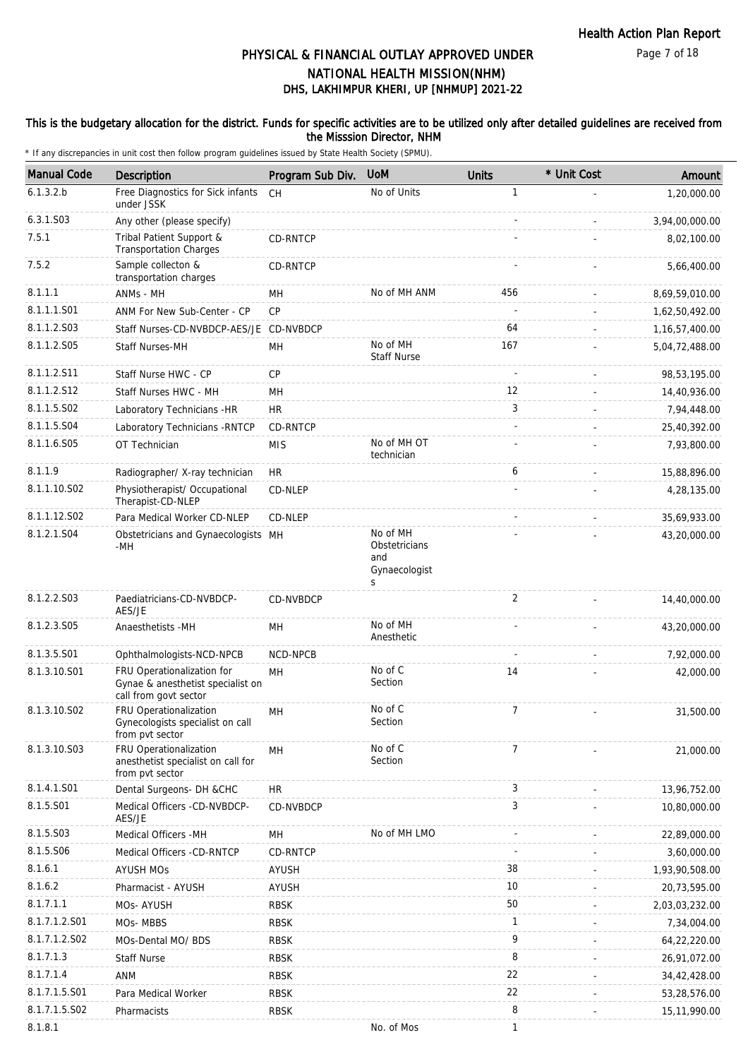Page 7 of 18

# DHS, LAKHIMPUR KHERI, UP [NHMUP] 2021-22 PHYSICAL & FINANCIAL OUTLAY APPROVED UNDER NATIONAL HEALTH MISSION(NHM)

### This is the budgetary allocation for the district. Funds for specific activities are to be utilized only after detailed guidelines are received from the Misssion Director, NHM

| <b>Manual Code</b> | Description                                                                              | Program Sub Div. | <b>UoM</b>                                             | <b>Units</b>   | * Unit Cost | Amount            |
|--------------------|------------------------------------------------------------------------------------------|------------------|--------------------------------------------------------|----------------|-------------|-------------------|
| 6.1.3.2.b          | Free Diagnostics for Sick infants<br>under JSSK                                          | <b>CH</b>        | No of Units                                            | 1              |             | 1,20,000.00       |
| 6.3.1.S03          | Any other (please specify)                                                               |                  |                                                        |                |             | 3,94,00,000.00    |
| 7.5.1              | Tribal Patient Support &<br><b>Transportation Charges</b>                                | CD-RNTCP         |                                                        |                |             | 8,02,100.00       |
| 7.5.2              | Sample collecton &<br>transportation charges                                             | CD-RNTCP         |                                                        |                |             | 5,66,400.00       |
| 8.1.1.1            | ANMs - MH                                                                                | <b>MH</b>        | No of MH ANM                                           | 456            |             | 8,69,59,010.00    |
| 8.1.1.1.S01        | ANM For New Sub-Center - CP                                                              | CP               |                                                        |                |             | 1,62,50,492.00    |
| 8.1.1.2.S03        | Staff Nurses-CD-NVBDCP-AES/JE CD-NVBDCP                                                  |                  |                                                        | 64             |             | 1, 16, 57, 400.00 |
| 8.1.1.2.S05        | <b>Staff Nurses-MH</b>                                                                   | MH               | No of MH<br><b>Staff Nurse</b>                         | 167            |             | 5,04,72,488.00    |
| 8.1.1.2.S11        | Staff Nurse HWC - CP                                                                     | <b>CP</b>        |                                                        |                |             | 98,53,195.00      |
| 8.1.1.2.S12        | Staff Nurses HWC - MH                                                                    | MH               |                                                        | 12             |             | 14,40,936.00      |
| 8.1.1.5.S02        | Laboratory Technicians -HR                                                               | <b>HR</b>        |                                                        | 3              |             | 7,94,448.00       |
| 8.1.1.5.S04        | Laboratory Technicians - RNTCP                                                           | CD-RNTCP         |                                                        | $\sim$         |             | 25,40,392.00      |
| 8.1.1.6.S05        | OT Technician                                                                            | <b>MIS</b>       | No of MH OT<br>technician                              |                |             | 7,93,800.00       |
| 8.1.1.9            | Radiographer/ X-ray technician                                                           | <b>HR</b>        |                                                        | 6              |             | 15,88,896.00      |
| 8.1.1.10.S02       | Physiotherapist/ Occupational<br>Therapist-CD-NLEP                                       | CD-NLEP          |                                                        |                |             | 4,28,135.00       |
| 8.1.1.12.S02       | Para Medical Worker CD-NLEP                                                              | CD-NLEP          |                                                        |                |             | 35,69,933.00      |
| 8.1.2.1.S04        | Obstetricians and Gynaecologists MH<br>-MH                                               |                  | No of MH<br>Obstetricians<br>and<br>Gynaecologist<br>S |                |             | 43,20,000.00      |
| 8.1.2.2.S03        | Paediatricians-CD-NVBDCP-<br>AES/JE                                                      | CD-NVBDCP        |                                                        | 2              |             | 14,40,000.00      |
| 8.1.2.3.S05        | Anaesthetists -MH                                                                        | MН               | No of MH<br>Anesthetic                                 |                |             | 43,20,000.00      |
| 8.1.3.5.S01        | Ophthalmologists-NCD-NPCB                                                                | NCD-NPCB         |                                                        | ÷,             |             | 7,92,000.00       |
| 8.1.3.10.S01       | FRU Operationalization for<br>Gynae & anesthetist specialist on<br>call from govt sector | MH               | No of C<br>Section                                     | 14             |             | 42,000.00         |
| 8.1.3.10.S02       | FRU Operationalization<br>Gynecologists specialist on call<br>from pvt sector            | MH               | No of C<br>Section                                     | $\overline{7}$ |             | 31,500.00         |
| 8.1.3.10.S03       | FRU Operationalization<br>anesthetist specialist on call for<br>from pvt sector          | MH               | No of C<br>Section                                     | $\overline{7}$ |             | 21,000.00         |
| 8.1.4.1.S01        | Dental Surgeons- DH &CHC                                                                 | HR               |                                                        | 3              |             | 13,96,752.00      |
| 8.1.5.S01          | Medical Officers -CD-NVBDCP-<br>AES/JE                                                   | CD-NVBDCP        |                                                        | 3              |             | 10,80,000.00      |
| 8.1.5.S03          | Medical Officers - MH                                                                    | MН               | No of MH LMO                                           |                |             | 22,89,000.00      |
| 8.1.5.S06          | Medical Officers -CD-RNTCP                                                               | CD-RNTCP         |                                                        |                |             | 3,60,000.00       |
| 8.1.6.1            | <b>AYUSH MOs</b>                                                                         | <b>AYUSH</b>     |                                                        | 38             |             | 1,93,90,508.00    |
| 8.1.6.2            | Pharmacist - AYUSH                                                                       | <b>AYUSH</b>     |                                                        | 10             |             | 20,73,595.00      |
| 8.1.7.1.1          | MOs- AYUSH                                                                               | <b>RBSK</b>      |                                                        | 50             |             | 2,03,03,232.00    |
| 8.1.7.1.2.S01      | MOs-MBBS                                                                                 | <b>RBSK</b>      |                                                        | $\mathbf{1}$   |             | 7,34,004.00       |
| 8.1.7.1.2.S02      | MOs-Dental MO/ BDS                                                                       | <b>RBSK</b>      |                                                        | 9              |             | 64,22,220.00      |
| 8.1.7.1.3          | <b>Staff Nurse</b>                                                                       | <b>RBSK</b>      |                                                        | 8              |             | 26,91,072.00      |
| 8.1.7.1.4          | <b>ANM</b>                                                                               | <b>RBSK</b>      |                                                        | 22             |             | 34,42,428.00      |
| 8.1.7.1.5.S01      | Para Medical Worker                                                                      | <b>RBSK</b>      |                                                        | 22             |             | 53,28,576.00      |
| 8.1.7.1.5.S02      | Pharmacists                                                                              | <b>RBSK</b>      |                                                        | 8              |             | 15,11,990.00      |
| 8.1.8.1            |                                                                                          |                  | No. of Mos                                             | $\mathbf{1}$   |             |                   |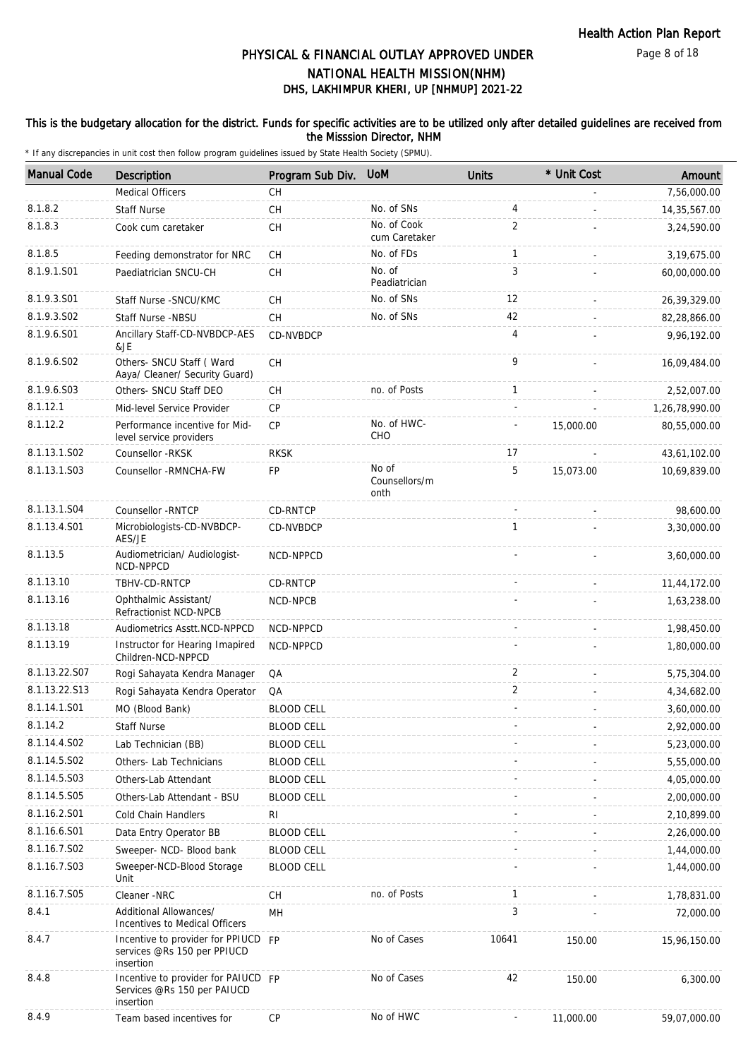Page 8 of 18

# DHS, LAKHIMPUR KHERI, UP [NHMUP] 2021-22 PHYSICAL & FINANCIAL OUTLAY APPROVED UNDER NATIONAL HEALTH MISSION(NHM)

### This is the budgetary allocation for the district. Funds for specific activities are to be utilized only after detailed guidelines are received from the Misssion Director, NHM

| <b>Manual Code</b>      | Description                                                                     | Program Sub Div.  | <b>UoM</b>                     | <b>Units</b>   | * Unit Cost | Amount         |
|-------------------------|---------------------------------------------------------------------------------|-------------------|--------------------------------|----------------|-------------|----------------|
|                         | <b>Medical Officers</b>                                                         | <b>CH</b>         |                                |                |             | 7,56,000.00    |
| 8.1.8.2                 | <b>Staff Nurse</b>                                                              | <b>CH</b>         | No. of SNs                     | 4              |             | 14,35,567.00   |
| 8.1.8.3                 | Cook cum caretaker                                                              | CH                | No. of Cook<br>cum Caretaker   | $\overline{2}$ |             | 3,24,590.00    |
| 8.1.8.5                 | Feeding demonstrator for NRC                                                    | CH                | No. of FDs                     | $\mathbf{1}$   |             | 3,19,675.00    |
| 8.1.9.1.S01             | Paediatrician SNCU-CH                                                           | CH                | No. of<br>Peadiatrician        | 3              |             | 60,00,000.00   |
| 8.1.9.3.S01             | Staff Nurse - SNCU/KMC                                                          | CH                | No. of SNs                     | 12             |             | 26,39,329.00   |
| 8.1.9.3.SO <sub>2</sub> | Staff Nurse -NBSU                                                               | CH                | No. of SNs                     | 42             |             | 82,28,866.00   |
| 8.1.9.6.S01             | Ancillary Staff-CD-NVBDCP-AES<br>&JE                                            | CD-NVBDCP         |                                | 4              |             | 9,96,192.00    |
| 8.1.9.6.SO2             | Others- SNCU Staff (Ward<br>Aaya/ Cleaner/ Security Guard)                      | CH                |                                | 9              |             | 16,09,484.00   |
| 8.1.9.6.S03             | Others- SNCU Staff DEO                                                          | CH                | no. of Posts                   | $\mathbf{1}$   |             | 2,52,007.00    |
| 8.1.12.1                | Mid-level Service Provider                                                      | CP                |                                |                |             | 1,26,78,990.00 |
| 8.1.12.2                | Performance incentive for Mid-<br>level service providers                       | <b>CP</b>         | No. of HWC-<br>CHO             |                | 15,000.00   | 80,55,000.00   |
| 8.1.13.1.S02            | Counsellor -RKSK                                                                | <b>RKSK</b>       |                                | 17             |             | 43,61,102.00   |
| 8.1.13.1.S03            | Counsellor - RMNCHA-FW                                                          | <b>FP</b>         | No of<br>Counsellors/m<br>onth | 5              | 15,073.00   | 10,69,839.00   |
| 8.1.13.1.S04            | Counsellor - RNTCP                                                              | <b>CD-RNTCP</b>   |                                |                |             | 98,600.00      |
| 8.1.13.4.S01            | Microbiologists-CD-NVBDCP-<br>AES/JE                                            | <b>CD-NVBDCP</b>  |                                | $\mathbf{1}$   |             | 3,30,000.00    |
| 8.1.13.5                | Audiometrician/ Audiologist-<br>NCD-NPPCD                                       | NCD-NPPCD         |                                |                |             | 3,60,000.00    |
| 8.1.13.10               | TBHV-CD-RNTCP                                                                   | CD-RNTCP          |                                |                |             | 11,44,172.00   |
| 8.1.13.16               | Ophthalmic Assistant/<br>Refractionist NCD-NPCB                                 | NCD-NPCB          |                                |                |             | 1,63,238.00    |
| 8.1.13.18               | Audiometrics Asstt.NCD-NPPCD                                                    | NCD-NPPCD         |                                |                |             | 1,98,450.00    |
| 8.1.13.19               | Instructor for Hearing Imapired<br>Children-NCD-NPPCD                           | NCD-NPPCD         |                                |                |             | 1,80,000.00    |
| 8.1.13.22.S07           | Rogi Sahayata Kendra Manager                                                    | QA                |                                | 2              |             | 5,75,304.00    |
| 8.1.13.22.S13           | Rogi Sahayata Kendra Operator                                                   | QA                |                                | $\overline{2}$ |             | 4,34,682.00    |
| 8.1.14.1.S01            | MO (Blood Bank)                                                                 | <b>BLOOD CELL</b> |                                |                |             | 3,60,000.00    |
| 8.1.14.2                | Staff Nurse                                                                     | <b>BLOOD CELL</b> |                                |                |             | 2,92,000.00    |
| 8.1.14.4.S02            | Lab Technician (BB)                                                             | <b>BLOOD CELL</b> |                                |                |             | 5,23,000.00    |
| 8.1.14.5.S02            | Others- Lab Technicians                                                         | <b>BLOOD CELL</b> |                                |                |             | 5,55,000.00    |
| 8.1.14.5.S03            | Others-Lab Attendant                                                            | <b>BLOOD CELL</b> |                                |                |             | 4,05,000.00    |
| 8.1.14.5.S05            | Others-Lab Attendant - BSU                                                      | <b>BLOOD CELL</b> |                                |                |             | 2,00,000.00    |
| 8.1.16.2.S01            | Cold Chain Handlers                                                             | RI                |                                |                |             | 2,10,899.00    |
| 8.1.16.6.S01            | Data Entry Operator BB                                                          | <b>BLOOD CELL</b> |                                |                |             | 2,26,000.00    |
| 8.1.16.7.S02            | Sweeper- NCD- Blood bank                                                        | <b>BLOOD CELL</b> |                                |                |             | 1,44,000.00    |
| 8.1.16.7.S03            | Sweeper-NCD-Blood Storage<br>Unit                                               | <b>BLOOD CELL</b> |                                |                |             | 1,44,000.00    |
| 8.1.16.7.S05            | Cleaner -NRC                                                                    | СH                | no. of Posts                   | $\mathbf{1}$   |             | 1,78,831.00    |
| 8.4.1                   | Additional Allowances/<br>Incentives to Medical Officers                        | MH                |                                | 3              |             | 72,000.00      |
| 8.4.7                   | Incentive to provider for PPIUCD FP<br>services @Rs 150 per PPIUCD<br>insertion |                   | No of Cases                    | 10641          | 150.00      | 15,96,150.00   |
| 8.4.8                   | Incentive to provider for PAIUCD FP<br>Services @Rs 150 per PAIUCD<br>insertion |                   | No of Cases                    | 42             | 150.00      | 6,300.00       |
| 8.4.9                   | Team based incentives for                                                       | <b>CP</b>         | No of HWC                      |                | 11,000.00   | 59,07,000.00   |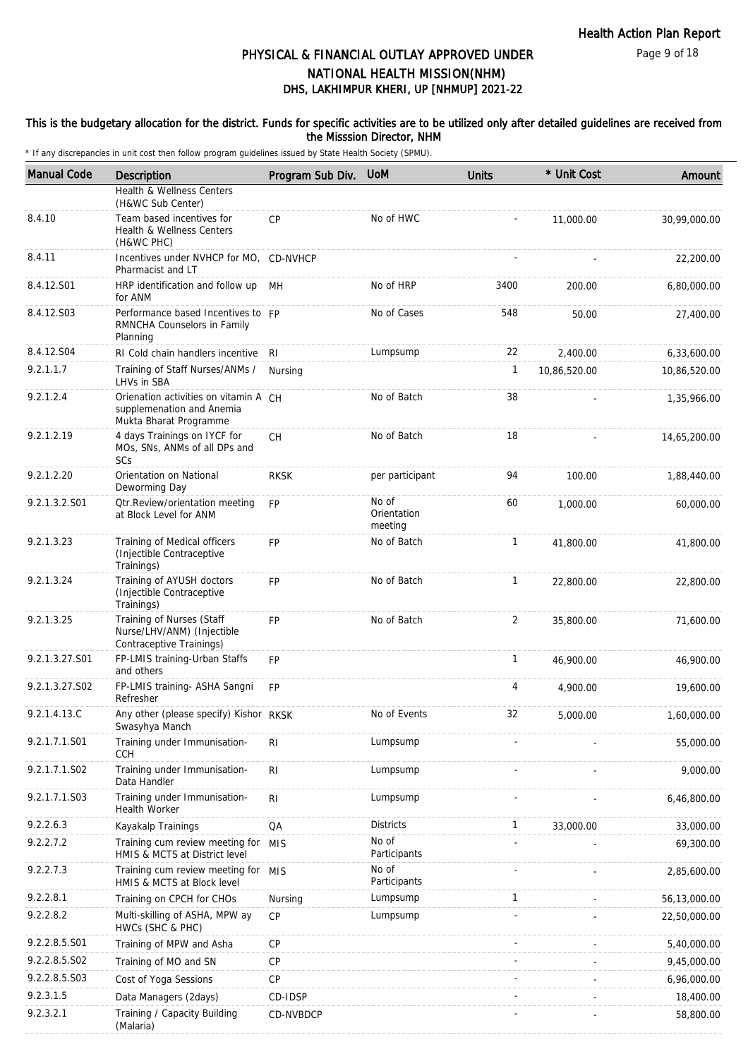Page 9 of 18

# DHS, LAKHIMPUR KHERI, UP [NHMUP] 2021-22 PHYSICAL & FINANCIAL OUTLAY APPROVED UNDER NATIONAL HEALTH MISSION(NHM)

### This is the budgetary allocation for the district. Funds for specific activities are to be utilized only after detailed guidelines are received from the Misssion Director, NHM

| <b>Manual Code</b> | <b>Description</b>                                                                           | Program Sub Div. | <b>UoM</b>                      | <b>Units</b> | * Unit Cost  | Amount       |
|--------------------|----------------------------------------------------------------------------------------------|------------------|---------------------------------|--------------|--------------|--------------|
|                    | Health & Wellness Centers<br>(H&WC Sub Center)                                               |                  |                                 |              |              |              |
| 8.4.10             | Team based incentives for<br>Health & Wellness Centers<br>(H&WC PHC)                         | CP               | No of HWC                       |              | 11,000.00    | 30,99,000.00 |
| 8.4.11             | Incentives under NVHCP for MO, CD-NVHCP<br>Pharmacist and LT                                 |                  |                                 |              |              | 22,200.00    |
| 8.4.12.S01         | HRP identification and follow up MH<br>for ANM                                               |                  | No of HRP                       | 3400         | 200.00       | 6,80,000.00  |
| 8.4.12.S03         | Performance based Incentives to FP<br>RMNCHA Counselors in Family<br>Planning                |                  | No of Cases                     | 548          | 50.00        | 27,400.00    |
| 8.4.12.S04         | RI Cold chain handlers incentive RI                                                          |                  | Lumpsump                        | 22           | 2,400.00     | 6,33,600.00  |
| 9.2.1.1.7          | Training of Staff Nurses/ANMs /<br>LHVs in SBA                                               | Nursing          |                                 | 1            | 10,86,520.00 | 10,86,520.00 |
| 9.2.1.2.4          | Orienation activities on vitamin A CH<br>supplemenation and Anemia<br>Mukta Bharat Programme |                  | No of Batch                     | 38           |              | 1,35,966.00  |
| 9.2.1.2.19         | 4 days Trainings on IYCF for<br>MOs, SNs, ANMs of all DPs and<br>SCs                         | <b>CH</b>        | No of Batch                     | 18           |              | 14,65,200.00 |
| 9.2.1.2.20         | Orientation on National<br>Deworming Day                                                     | <b>RKSK</b>      | per participant                 | 94           | 100.00       | 1,88,440.00  |
| 9.2.1.3.2.S01      | Otr.Review/orientation meeting<br>at Block Level for ANM                                     | FP               | No of<br>Orientation<br>meeting | 60           | 1,000.00     | 60,000.00    |
| 9.2.1.3.23         | Training of Medical officers<br>(Injectible Contraceptive<br>Trainings)                      | <b>FP</b>        | No of Batch                     | $\mathbf{1}$ | 41,800.00    | 41,800.00    |
| 9.2.1.3.24         | Training of AYUSH doctors<br>(Injectible Contraceptive<br>Trainings)                         | <b>FP</b>        | No of Batch                     | $\mathbf{1}$ | 22,800.00    | 22,800.00    |
| 9.2.1.3.25         | Training of Nurses (Staff<br>Nurse/LHV/ANM) (Injectible<br>Contraceptive Trainings)          | <b>FP</b>        | No of Batch                     | 2            | 35,800.00    | 71,600.00    |
| 9.2.1.3.27.S01     | FP-LMIS training-Urban Staffs<br>and others                                                  | FP               |                                 | $\mathbf{1}$ | 46,900.00    | 46,900.00    |
| 9.2.1.3.27.S02     | FP-LMIS training- ASHA Sangni<br>Refresher                                                   | <b>FP</b>        |                                 | 4            | 4,900.00     | 19,600.00    |
| 9.2.1.4.13.C       | Any other (please specify) Kishor RKSK<br>Swasyhya Manch                                     |                  | No of Events                    | 32           | 5,000.00     | 1,60,000.00  |
| 9.2.1.7.1.S01      | Training under Immunisation-<br><b>CCH</b>                                                   | RI               | Lumpsump                        |              |              | 55,000.00    |
| 9.2.1.7.1.S02      | Training under Immunisation-<br>Data Handler                                                 | R <sub>l</sub>   | Lumpsump                        |              |              | 9,000.00     |
| 9.2.1.7.1.S03      | Training under Immunisation-<br><b>Health Worker</b>                                         | RI               | Lumpsump                        |              |              | 6,46,800.00  |
| 9.2.2.6.3          | Kayakalp Trainings                                                                           | QA               | <b>Districts</b>                | 1            | 33,000.00    | 33,000.00    |
| 9.2.2.7.2          | Training cum review meeting for MIS<br>HMIS & MCTS at District level                         |                  | No of<br>Participants           |              |              | 69,300.00    |
| 9.2.2.7.3          | Training cum review meeting for MIS<br>HMIS & MCTS at Block level                            |                  | No of<br>Participants           |              |              | 2,85,600.00  |
| 9.2.2.8.1          | Training on CPCH for CHOs                                                                    | Nursing          | Lumpsump                        | $\mathbf{1}$ |              | 56,13,000.00 |
| 9.2.2.8.2          | Multi-skilling of ASHA, MPW ay<br>HWCs (SHC & PHC)                                           | <b>CP</b>        | Lumpsump                        |              |              | 22,50,000.00 |
| 9.2.2.8.5.S01      | Training of MPW and Asha                                                                     | CP               |                                 |              |              | 5,40,000.00  |
| 9.2.2.8.5.S02      | Training of MO and SN                                                                        | <b>CP</b>        |                                 |              |              | 9,45,000.00  |
| 9.2.2.8.5.S03      | Cost of Yoga Sessions                                                                        | CP               |                                 |              |              | 6,96,000.00  |
| 9.2.3.1.5          | Data Managers (2days)                                                                        | CD-IDSP          |                                 |              |              | 18,400.00    |
| 9.2.3.2.1          | Training / Capacity Building<br>(Malaria)                                                    | CD-NVBDCP        |                                 |              |              | 58,800.00    |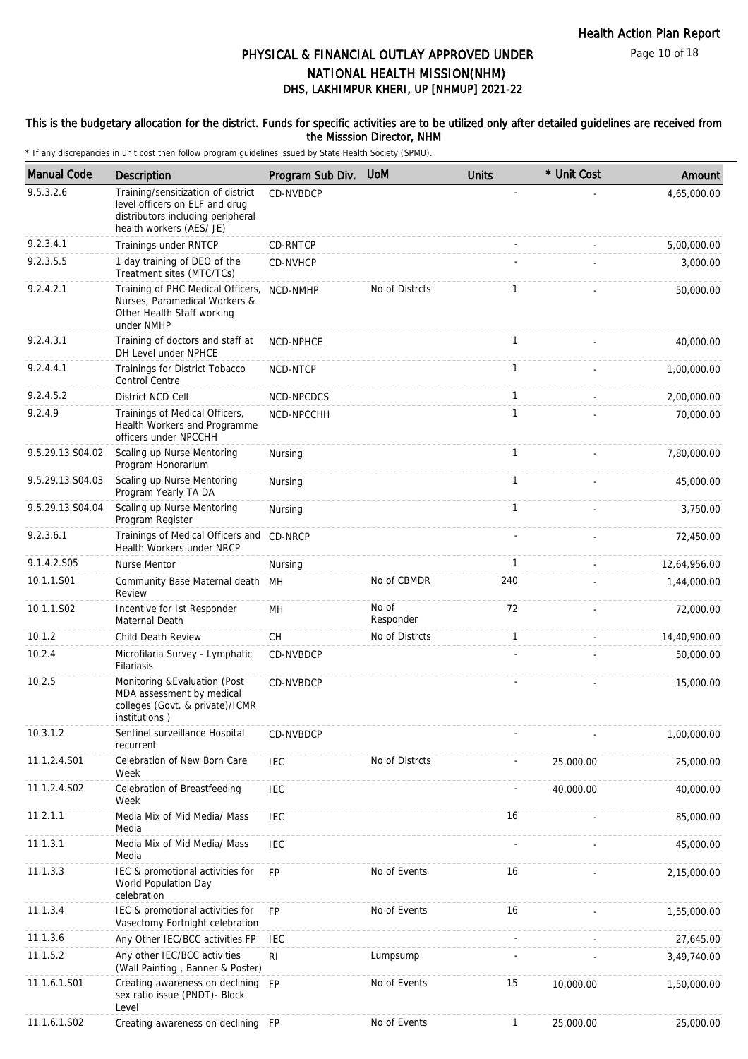Page 10 of 18

# DHS, LAKHIMPUR KHERI, UP [NHMUP] 2021-22 PHYSICAL & FINANCIAL OUTLAY APPROVED UNDER NATIONAL HEALTH MISSION(NHM)

### This is the budgetary allocation for the district. Funds for specific activities are to be utilized only after detailed guidelines are received from the Misssion Director, NHM

| <b>Manual Code</b> | Description                                                                                                                           | Program Sub Div. | <b>UoM</b>         | <b>Units</b> | * Unit Cost | Amount       |
|--------------------|---------------------------------------------------------------------------------------------------------------------------------------|------------------|--------------------|--------------|-------------|--------------|
| 9.5.3.2.6          | Training/sensitization of district<br>level officers on ELF and drug<br>distributors including peripheral<br>health workers (AES/ JE) | <b>CD-NVBDCP</b> |                    |              |             | 4,65,000.00  |
| 9.2.3.4.1          | Trainings under RNTCP                                                                                                                 | CD-RNTCP         |                    |              |             | 5,00,000.00  |
| 9.2.3.5.5          | 1 day training of DEO of the<br>Treatment sites (MTC/TCs)                                                                             | CD-NVHCP         |                    |              |             | 3,000.00     |
| 9.2.4.2.1          | Training of PHC Medical Officers, NCD-NMHP<br>Nurses, Paramedical Workers &<br>Other Health Staff working<br>under NMHP               |                  | No of Distrcts     | $\mathbf{1}$ |             | 50,000.00    |
| 9.2.4.3.1          | Training of doctors and staff at<br>DH Level under NPHCE                                                                              | NCD-NPHCE        |                    | 1            |             | 40,000.00    |
| 9.2.4.4.1          | Trainings for District Tobacco<br>Control Centre                                                                                      | NCD-NTCP         |                    | $\mathbf{1}$ |             | 1,00,000.00  |
| 9.2.4.5.2          | District NCD Cell                                                                                                                     | NCD-NPCDCS       |                    | $\mathbf{1}$ |             | 2,00,000.00  |
| 9.2.4.9            | Trainings of Medical Officers,<br>Health Workers and Programme<br>officers under NPCCHH                                               | NCD-NPCCHH       |                    | $\mathbf{1}$ |             | 70,000.00    |
| 9.5.29.13.S04.02   | Scaling up Nurse Mentoring<br>Program Honorarium                                                                                      | Nursing          |                    | $\mathbf{1}$ |             | 7,80,000.00  |
| 9.5.29.13.S04.03   | Scaling up Nurse Mentoring<br>Program Yearly TA DA                                                                                    | Nursing          |                    | $\mathbf{1}$ |             | 45,000.00    |
| 9.5.29.13.S04.04   | Scaling up Nurse Mentoring<br>Program Register                                                                                        | Nursing          |                    | $\mathbf{1}$ |             | 3,750.00     |
| 9.2.3.6.1          | Trainings of Medical Officers and<br>Health Workers under NRCP                                                                        | CD-NRCP          |                    |              |             | 72,450.00    |
| 9.1.4.2.S05        | Nurse Mentor                                                                                                                          | Nursing          |                    | 1            |             | 12,64,956.00 |
| 10.1.1.S01         | Community Base Maternal death MH<br>Review                                                                                            |                  | No of CBMDR        | 240          |             | 1,44,000.00  |
| 10.1.1.S02         | Incentive for Ist Responder<br>Maternal Death                                                                                         | MH               | No of<br>Responder | 72           |             | 72,000.00    |
| 10.1.2             | Child Death Review                                                                                                                    | CH               | No of Distrcts     | $\mathbf{1}$ |             | 14,40,900.00 |
| 10.2.4             | Microfilaria Survey - Lymphatic<br>Filariasis                                                                                         | CD-NVBDCP        |                    |              |             | 50,000.00    |
| 10.2.5             | Monitoring & Evaluation (Post<br>MDA assessment by medical<br>colleges (Govt. & private)/ICMR<br>institutions)                        | CD-NVBDCP        |                    |              |             | 15,000.00    |
| 10.3.1.2           | Sentinel surveillance Hospital<br>recurrent                                                                                           | CD-NVBDCP        |                    |              |             | 1,00,000.00  |
| 11.1.2.4.S01       | Celebration of New Born Care<br>Week                                                                                                  | <b>IEC</b>       | No of Distrcts     |              | 25,000.00   | 25,000.00    |
| 11.1.2.4.S02       | Celebration of Breastfeeding<br>Week                                                                                                  | <b>IEC</b>       |                    |              | 40,000.00   | 40,000.00    |
| 11.2.1.1           | Media Mix of Mid Media/ Mass<br>Media                                                                                                 | <b>IEC</b>       |                    | 16           |             | 85,000.00    |
| 11.1.3.1           | Media Mix of Mid Media/ Mass<br>Media                                                                                                 | <b>IEC</b>       |                    |              |             | 45,000.00    |
| 11.1.3.3           | IEC & promotional activities for<br>World Population Day<br>celebration                                                               | <b>FP</b>        | No of Events       | 16           |             | 2,15,000.00  |
| 11.1.3.4           | IEC & promotional activities for<br>Vasectomy Fortnight celebration                                                                   | <b>FP</b>        | No of Events       | 16           |             | 1,55,000.00  |
| 11.1.3.6           | Any Other IEC/BCC activities FP                                                                                                       | <b>IEC</b>       |                    |              |             | 27,645.00    |
| 11.1.5.2           | Any other IEC/BCC activities<br>(Wall Painting, Banner & Poster)                                                                      | R <sub>l</sub>   | Lumpsump           |              |             | 3,49,740.00  |
| 11.1.6.1.S01       | Creating awareness on declining FP<br>sex ratio issue (PNDT)- Block<br>Level                                                          |                  | No of Events       | 15           | 10,000.00   | 1,50,000.00  |
| 11.1.6.1.S02       | Creating awareness on declining FP                                                                                                    |                  | No of Events       | $\mathbf{1}$ | 25,000.00   | 25,000.00    |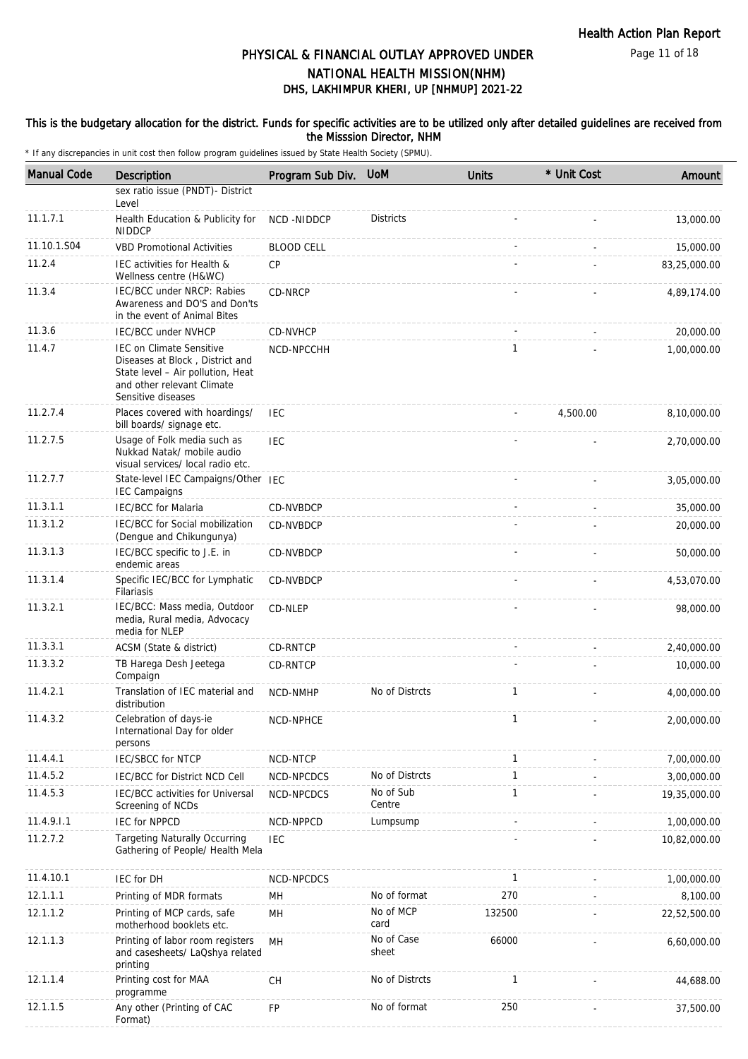Page 11 of 18

# DHS, LAKHIMPUR KHERI, UP [NHMUP] 2021-22 PHYSICAL & FINANCIAL OUTLAY APPROVED UNDER NATIONAL HEALTH MISSION(NHM)

### This is the budgetary allocation for the district. Funds for specific activities are to be utilized only after detailed guidelines are received from the Misssion Director, NHM

| <b>Manual Code</b> | Description                                                                                                                                                 | Program Sub Div.  | <b>UoM</b>          | <b>Units</b> | * Unit Cost | Amount       |
|--------------------|-------------------------------------------------------------------------------------------------------------------------------------------------------------|-------------------|---------------------|--------------|-------------|--------------|
|                    | sex ratio issue (PNDT)- District<br>Level                                                                                                                   |                   |                     |              |             |              |
| 11.1.7.1           | Health Education & Publicity for<br><b>NIDDCP</b>                                                                                                           | NCD-NIDDCP        | <b>Districts</b>    |              |             | 13,000.00    |
| 11.10.1.S04        | <b>VBD Promotional Activities</b>                                                                                                                           | <b>BLOOD CELL</b> |                     |              |             | 15,000.00    |
| 11.2.4             | IEC activities for Health &<br>Wellness centre (H&WC)                                                                                                       | <b>CP</b>         |                     |              |             | 83,25,000.00 |
| 11.3.4             | IEC/BCC under NRCP: Rabies<br>Awareness and DO'S and Don'ts<br>in the event of Animal Bites                                                                 | CD-NRCP           |                     |              |             | 4,89,174.00  |
| 11.3.6             | <b>IEC/BCC under NVHCP</b>                                                                                                                                  | CD-NVHCP          |                     |              |             | 20,000.00    |
| 11.4.7             | <b>IEC on Climate Sensitive</b><br>Diseases at Block, District and<br>State level - Air pollution, Heat<br>and other relevant Climate<br>Sensitive diseases | NCD-NPCCHH        |                     | $\mathbf{1}$ |             | 1,00,000.00  |
| 11.2.7.4           | Places covered with hoardings/<br>bill boards/ signage etc.                                                                                                 | <b>IEC</b>        |                     |              | 4,500.00    | 8,10,000.00  |
| 11.2.7.5           | Usage of Folk media such as<br>Nukkad Natak/ mobile audio<br>visual services/ local radio etc.                                                              | <b>IEC</b>        |                     |              |             | 2,70,000.00  |
| 11.2.7.7           | State-level IEC Campaigns/Other IEC<br><b>IEC Campaigns</b>                                                                                                 |                   |                     |              |             | 3,05,000.00  |
| 11.3.1.1           | <b>IEC/BCC</b> for Malaria                                                                                                                                  | CD-NVBDCP         |                     |              |             | 35,000.00    |
| 11.3.1.2           | IEC/BCC for Social mobilization<br>(Dengue and Chikungunya)                                                                                                 | <b>CD-NVBDCP</b>  |                     |              |             | 20,000.00    |
| 11.3.1.3           | IEC/BCC specific to J.E. in<br>endemic areas                                                                                                                | CD-NVBDCP         |                     |              |             | 50,000.00    |
| 11.3.1.4           | Specific IEC/BCC for Lymphatic<br>Filariasis                                                                                                                | CD-NVBDCP         |                     |              |             | 4,53,070.00  |
| 11.3.2.1           | IEC/BCC: Mass media, Outdoor<br>media, Rural media, Advocacy<br>media for NLEP                                                                              | CD-NLEP           |                     |              |             | 98,000.00    |
| 11.3.3.1           | ACSM (State & district)                                                                                                                                     | <b>CD-RNTCP</b>   |                     |              |             | 2,40,000.00  |
| 11.3.3.2           | TB Harega Desh Jeetega<br>Compaign                                                                                                                          | <b>CD-RNTCP</b>   |                     |              |             | 10,000.00    |
| 11.4.2.1           | Translation of IEC material and<br>distribution                                                                                                             | NCD-NMHP          | No of Distrcts      | $\mathbf{1}$ |             | 4,00,000.00  |
| 11.4.3.2           | Celebration of days-ie<br>International Day for older<br>persons                                                                                            | NCD-NPHCE         |                     | $\mathbf{1}$ |             | 2,00,000.00  |
| 11.4.4.1           | <b>IEC/SBCC for NTCP</b>                                                                                                                                    | <b>NCD-NTCP</b>   |                     | $\mathbf{1}$ |             | 7,00,000.00  |
| 11.4.5.2           | IEC/BCC for District NCD Cell                                                                                                                               | NCD-NPCDCS        | No of Distrcts      | $\mathbf{1}$ |             | 3,00,000.00  |
| 11.4.5.3           | IEC/BCC activities for Universal<br>Screening of NCDs                                                                                                       | NCD-NPCDCS        | No of Sub<br>Centre | 1            |             | 19,35,000.00 |
| 11.4.9.1.1         | <b>IEC for NPPCD</b>                                                                                                                                        | NCD-NPPCD         | Lumpsump            |              |             | 1,00,000.00  |
| 11.2.7.2           | <b>Targeting Naturally Occurring</b><br>Gathering of People/ Health Mela                                                                                    | <b>IEC</b>        |                     |              |             | 10,82,000.00 |
| 11.4.10.1          | IEC for DH                                                                                                                                                  | NCD-NPCDCS        |                     | $\mathbf{1}$ |             | 1,00,000.00  |
| 12.1.1.1           | Printing of MDR formats                                                                                                                                     | MН                | No of format        | 270          |             | 8,100.00     |
| 12.1.1.2           | Printing of MCP cards, safe<br>motherhood booklets etc.                                                                                                     | MН                | No of MCP<br>card   | 132500       |             | 22,52,500.00 |
| 12.1.1.3           | Printing of labor room registers<br>and casesheets/ LaQshya related<br>printing                                                                             | MH                | No of Case<br>sheet | 66000        |             | 6,60,000.00  |
| 12.1.1.4           | Printing cost for MAA<br>programme                                                                                                                          | CH                | No of Distrcts      | $\mathbf{1}$ |             | 44,688.00    |
| 12.1.1.5           | Any other (Printing of CAC<br>Format)                                                                                                                       | FP                | No of format        | 250          |             | 37,500.00    |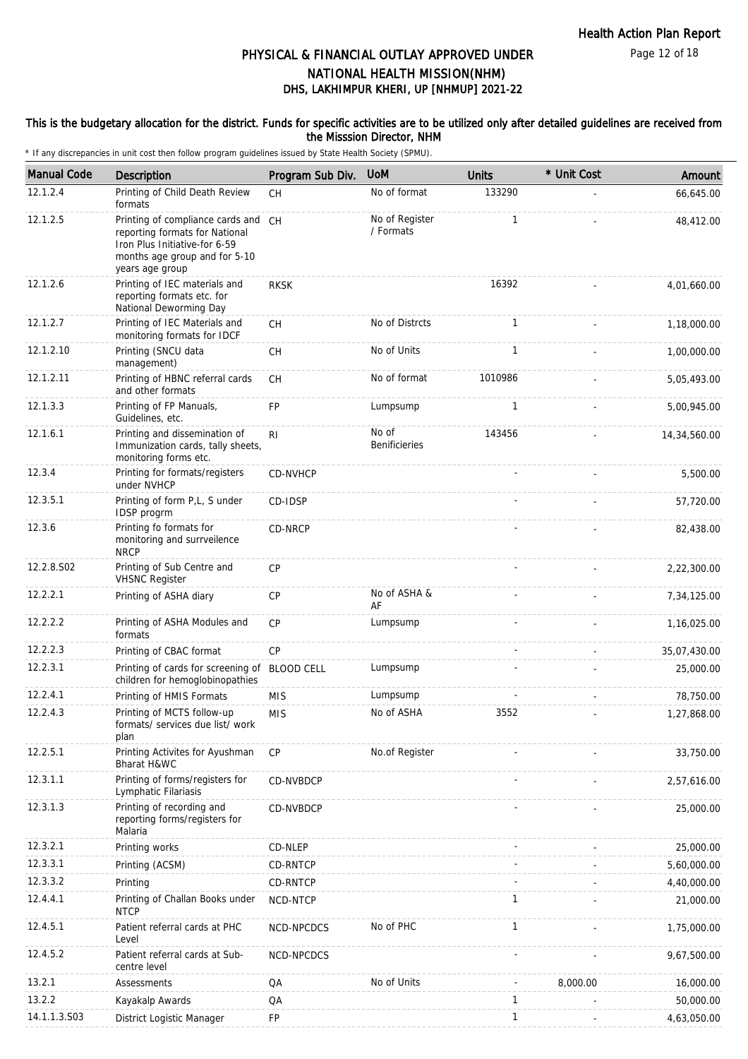Page 12 of 18

# DHS, LAKHIMPUR KHERI, UP [NHMUP] 2021-22 PHYSICAL & FINANCIAL OUTLAY APPROVED UNDER NATIONAL HEALTH MISSION(NHM)

### This is the budgetary allocation for the district. Funds for specific activities are to be utilized only after detailed guidelines are received from the Misssion Director, NHM

| <b>Manual Code</b> | <b>Description</b>                                                                                                                                         | Program Sub Div. | <b>UoM</b>                    | <b>Units</b> | * Unit Cost | Amount         |
|--------------------|------------------------------------------------------------------------------------------------------------------------------------------------------------|------------------|-------------------------------|--------------|-------------|----------------|
| 12.1.2.4           | Printing of Child Death Review<br>formats                                                                                                                  | <b>CH</b>        | No of format                  | 133290       |             | 66,645.00      |
| 12.1.2.5           | Printing of compliance cards and CH<br>reporting formats for National<br>Iron Plus Initiative-for 6-59<br>months age group and for 5-10<br>years age group |                  | No of Register<br>/ Formats   | $\mathbf{1}$ |             | 48,412.00      |
| 12.1.2.6           | Printing of IEC materials and<br>reporting formats etc. for<br>National Deworming Day                                                                      | <b>RKSK</b>      |                               | 16392        |             | 4,01,660.00    |
| 12.1.2.7           | Printing of IEC Materials and<br>monitoring formats for IDCF                                                                                               | <b>CH</b>        | No of Distrcts                | $\mathbf{1}$ |             | 1,18,000.00    |
| 12.1.2.10          | Printing (SNCU data<br>management)                                                                                                                         | CH               | No of Units                   | $\mathbf{1}$ |             | 1,00,000.00    |
| 12.1.2.11          | Printing of HBNC referral cards<br>and other formats                                                                                                       | CH               | No of format                  | 1010986      |             | 5,05,493.00    |
| 12.1.3.3           | Printing of FP Manuals,<br>Guidelines, etc.                                                                                                                | FP               | Lumpsump                      | $\mathbf{1}$ |             | 5,00,945.00    |
| 12.1.6.1           | Printing and dissemination of<br>Immunization cards, tally sheets,<br>monitoring forms etc.                                                                | R <sub>l</sub>   | No of<br><b>Benificieries</b> | 143456       |             | 14, 34, 560.00 |
| 12.3.4             | Printing for formats/registers<br>under NVHCP                                                                                                              | CD-NVHCP         |                               |              |             | 5,500.00       |
| 12.3.5.1           | Printing of form P,L, S under<br>IDSP progrm                                                                                                               | CD-IDSP          |                               |              |             | 57,720.00      |
| 12.3.6             | Printing fo formats for<br>monitoring and surrveilence<br><b>NRCP</b>                                                                                      | CD-NRCP          |                               |              |             | 82,438.00      |
| 12.2.8.S02         | Printing of Sub Centre and<br><b>VHSNC Register</b>                                                                                                        | <b>CP</b>        |                               |              |             | 2,22,300.00    |
| 12.2.2.1           | Printing of ASHA diary                                                                                                                                     | CP               | No of ASHA &<br>AF            |              |             | 7,34,125.00    |
| 12.2.2.2           | Printing of ASHA Modules and<br>formats                                                                                                                    | <b>CP</b>        | Lumpsump                      |              |             | 1,16,025.00    |
| 12.2.2.3           | Printing of CBAC format                                                                                                                                    | CP               |                               |              |             | 35,07,430.00   |
| 12.2.3.1           | Printing of cards for screening of BLOOD CELL<br>children for hemoglobinopathies                                                                           |                  | Lumpsump                      |              |             | 25,000.00      |
| 12.2.4.1           | Printing of HMIS Formats                                                                                                                                   | <b>MIS</b>       | Lumpsump                      |              |             | 78,750.00      |
| 12.2.4.3           | Printing of MCTS follow-up<br>formats/ services due list/ work<br>plan                                                                                     | <b>MIS</b>       | No of ASHA                    | 3552         |             | 1,27,868.00    |
| 12.2.5.1           | Printing Activites for Ayushman<br>Bharat H&WC                                                                                                             | <b>CP</b>        | No.of Register                |              |             | 33,750.00      |
| 12.3.1.1           | Printing of forms/registers for<br>Lymphatic Filariasis                                                                                                    | CD-NVBDCP        |                               |              |             | 2,57,616.00    |
| 12.3.1.3           | Printing of recording and<br>reporting forms/registers for<br>Malaria                                                                                      | CD-NVBDCP        |                               |              |             | 25,000.00      |
| 12.3.2.1           | Printing works                                                                                                                                             | CD-NLEP          |                               |              |             | 25,000.00      |
| 12.3.3.1           | Printing (ACSM)                                                                                                                                            | CD-RNTCP         |                               |              |             | 5,60,000.00    |
| 12.3.3.2           | Printing                                                                                                                                                   | CD-RNTCP         |                               |              |             | 4,40,000.00    |
| 12.4.4.1           | Printing of Challan Books under<br><b>NTCP</b>                                                                                                             | NCD-NTCP         |                               | 1            |             | 21,000.00      |
| 12.4.5.1           | Patient referral cards at PHC<br>Level                                                                                                                     | NCD-NPCDCS       | No of PHC                     | 1            |             | 1,75,000.00    |
| 12.4.5.2           | Patient referral cards at Sub-<br>centre level                                                                                                             | NCD-NPCDCS       |                               |              |             | 9,67,500.00    |
| 13.2.1             | Assessments                                                                                                                                                | QA               | No of Units                   |              | 8,000.00    | 16,000.00      |
| 13.2.2             | Kayakalp Awards                                                                                                                                            | QA               |                               | $\mathbf{1}$ |             | 50,000.00      |
| 14.1.1.3.S03       | District Logistic Manager                                                                                                                                  | FP               |                               | 1            |             | 4,63,050.00    |
|                    |                                                                                                                                                            |                  |                               |              |             |                |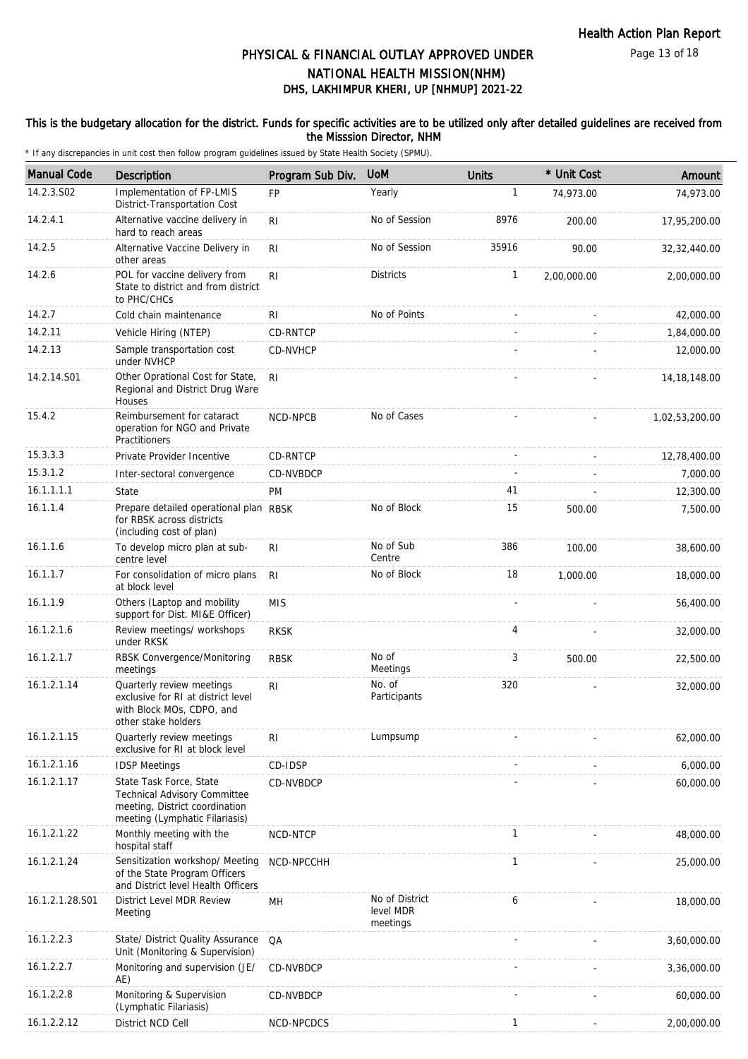### This is the budgetary allocation for the district. Funds for specific activities are to be utilized only after detailed guidelines are received from the Misssion Director, NHM

| <b>Manual Code</b> | Description                                                                                                                        | Program Sub Div. | <b>UoM</b>                              | <b>Units</b> | * Unit Cost | Amount         |
|--------------------|------------------------------------------------------------------------------------------------------------------------------------|------------------|-----------------------------------------|--------------|-------------|----------------|
| 14.2.3.S02         | Implementation of FP-LMIS<br>District-Transportation Cost                                                                          | <b>FP</b>        | Yearly                                  | 1            | 74,973.00   | 74,973.00      |
| 14.2.4.1           | Alternative vaccine delivery in<br>hard to reach areas                                                                             | R <sub>l</sub>   | No of Session                           | 8976         | 200.00      | 17,95,200.00   |
| 14.2.5             | Alternative Vaccine Delivery in<br>other areas                                                                                     | R <sub>l</sub>   | No of Session                           | 35916        | 90.00       | 32, 32, 440.00 |
| 14.2.6             | POL for vaccine delivery from<br>State to district and from district<br>to PHC/CHCs                                                | RI.              | <b>Districts</b>                        | 1            | 2,00,000.00 | 2,00,000.00    |
| 14.2.7             | Cold chain maintenance                                                                                                             | RI               | No of Points                            | ä,           |             | 42,000.00      |
| 14.2.11            | Vehicle Hiring (NTEP)                                                                                                              | CD-RNTCP         |                                         |              |             | 1,84,000.00    |
| 14.2.13            | Sample transportation cost<br>under NVHCP                                                                                          | CD-NVHCP         |                                         |              |             | 12,000.00      |
| 14.2.14.S01        | Other Oprational Cost for State,<br>Regional and District Drug Ware<br>Houses                                                      | R <sub>l</sub>   |                                         |              |             | 14, 18, 148.00 |
| 15.4.2             | Reimbursement for cataract<br>operation for NGO and Private<br>Practitioners                                                       | <b>NCD-NPCB</b>  | No of Cases                             |              |             | 1,02,53,200.00 |
| 15.3.3.3           | Private Provider Incentive                                                                                                         | CD-RNTCP         |                                         |              |             | 12,78,400.00   |
| 15.3.1.2           | Inter-sectoral convergence                                                                                                         | CD-NVBDCP        |                                         |              |             | 7.000.00       |
| 16.1.1.1.1         | State                                                                                                                              | <b>PM</b>        |                                         | 41           |             | 12,300.00      |
| 16.1.1.4           | Prepare detailed operational plan RBSK<br>for RBSK across districts<br>(including cost of plan)                                    |                  | No of Block                             | 15           | 500.00      | 7,500.00       |
| 16.1.1.6           | To develop micro plan at sub-<br>centre level                                                                                      | RI.              | No of Sub<br>Centre                     | 386          | 100.00      | 38,600.00      |
| 16.1.1.7           | For consolidation of micro plans<br>at block level                                                                                 | <b>RI</b>        | No of Block                             | 18           | 1,000.00    | 18,000.00      |
| 16.1.1.9           | Others (Laptop and mobility<br>support for Dist. MI&E Officer)                                                                     | <b>MIS</b>       |                                         |              |             | 56,400.00      |
| 16.1.2.1.6         | Review meetings/ workshops<br>under RKSK                                                                                           | <b>RKSK</b>      |                                         | 4            |             | 32,000.00      |
| 16.1.2.1.7         | RBSK Convergence/Monitoring<br>meetings                                                                                            | <b>RBSK</b>      | No of<br>Meetings                       | 3            | 500.00      | 22,500.00      |
| 16.1.2.1.14        | Quarterly review meetings<br>exclusive for RI at district level<br>with Block MOs, CDPO, and<br>other stake holders                | RI               | No. of<br>Participants                  | 320          |             | 32,000.00      |
| 16.1.2.1.15        | Quarterly review meetings<br>exclusive for RI at block level                                                                       | RI               | Lumpsump                                |              |             | 62,000.00      |
| 16.1.2.1.16        | <b>IDSP Meetings</b>                                                                                                               | CD-IDSP          |                                         |              |             | 6,000.00       |
| 16.1.2.1.17        | State Task Force, State<br><b>Technical Advisory Committee</b><br>meeting, District coordination<br>meeting (Lymphatic Filariasis) | CD-NVBDCP        |                                         |              |             | 60,000.00      |
| 16.1.2.1.22        | Monthly meeting with the<br>hospital staff                                                                                         | NCD-NTCP         |                                         | 1            |             | 48,000.00      |
| 16.1.2.1.24        | Sensitization workshop/ Meeting<br>of the State Program Officers<br>and District level Health Officers                             | NCD-NPCCHH       |                                         | 1            |             | 25,000.00      |
| 16.1.2.1.28.S01    | District Level MDR Review<br>Meeting                                                                                               | MH               | No of District<br>level MDR<br>meetings | 6            |             | 18,000.00      |
| 16.1.2.2.3         | State/ District Quality Assurance<br>Unit (Monitoring & Supervision)                                                               | QA               |                                         |              |             | 3,60,000.00    |
| 16.1.2.2.7         | Monitoring and supervision (JE/<br>AE)                                                                                             | CD-NVBDCP        |                                         |              |             | 3,36,000.00    |
| 16.1.2.2.8         | Monitoring & Supervision<br>(Lymphatic Filariasis)                                                                                 | CD-NVBDCP        |                                         |              |             | 60,000.00      |
| 16.1.2.2.12        | District NCD Cell                                                                                                                  | NCD-NPCDCS       |                                         | 1            |             | 2,00,000.00    |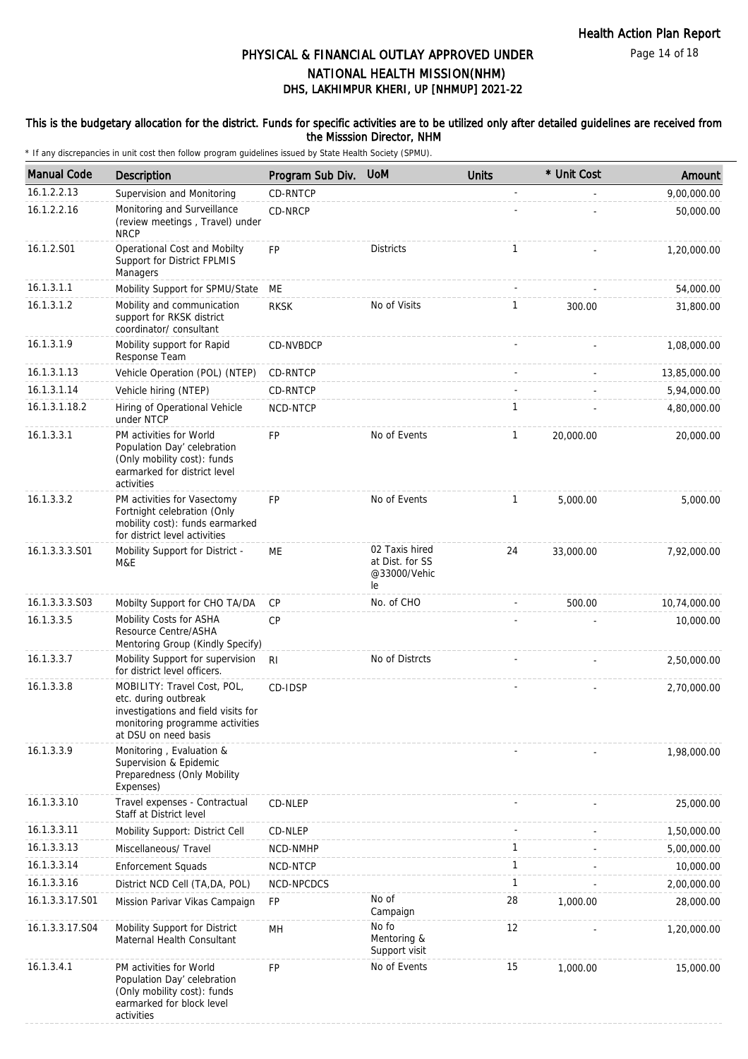Page 14 of 18

# DHS, LAKHIMPUR KHERI, UP [NHMUP] 2021-22 PHYSICAL & FINANCIAL OUTLAY APPROVED UNDER NATIONAL HEALTH MISSION(NHM)

### This is the budgetary allocation for the district. Funds for specific activities are to be utilized only after detailed guidelines are received from the Misssion Director, NHM

| <b>Manual Code</b> | <b>Description</b>                                                                                                                                    | Program Sub Div. | <b>UoM</b>                                              | <b>Units</b> | * Unit Cost | Amount       |
|--------------------|-------------------------------------------------------------------------------------------------------------------------------------------------------|------------------|---------------------------------------------------------|--------------|-------------|--------------|
| 16.1.2.2.13        | Supervision and Monitoring                                                                                                                            | CD-RNTCP         |                                                         | ÷,           |             | 9,00,000.00  |
| 16.1.2.2.16        | Monitoring and Surveillance<br>(review meetings, Travel) under<br><b>NRCP</b>                                                                         | CD-NRCP          |                                                         |              |             | 50,000.00    |
| 16.1.2.S01         | Operational Cost and Mobilty<br>Support for District FPLMIS<br>Managers                                                                               | <b>FP</b>        | <b>Districts</b>                                        | 1            |             | 1,20,000.00  |
| 16.1.3.1.1         | Mobility Support for SPMU/State                                                                                                                       | ME               |                                                         |              |             | 54,000.00    |
| 16.1.3.1.2         | Mobility and communication<br>support for RKSK district<br>coordinator/consultant                                                                     | <b>RKSK</b>      | No of Visits                                            | $\mathbf{1}$ | 300.00      | 31,800.00    |
| 16.1.3.1.9         | Mobility support for Rapid<br>Response Team                                                                                                           | CD-NVBDCP        |                                                         |              |             | 1,08,000.00  |
| 16.1.3.1.13        | Vehicle Operation (POL) (NTEP)                                                                                                                        | CD-RNTCP         |                                                         |              |             | 13,85,000.00 |
| 16.1.3.1.14        | Vehicle hiring (NTEP)                                                                                                                                 | CD-RNTCP         |                                                         |              |             | 5,94,000.00  |
| 16.1.3.1.18.2      | Hiring of Operational Vehicle<br>under NTCP                                                                                                           | NCD-NTCP         |                                                         | 1            |             | 4,80,000.00  |
| 16.1.3.3.1         | PM activities for World<br>Population Day' celebration<br>(Only mobility cost): funds<br>earmarked for district level<br>activities                   | <b>FP</b>        | No of Events                                            | $\mathbf{1}$ | 20,000.00   | 20,000.00    |
| 16.1.3.3.2         | PM activities for Vasectomy<br>Fortnight celebration (Only<br>mobility cost): funds earmarked<br>for district level activities                        | <b>FP</b>        | No of Events                                            | $\mathbf{1}$ | 5,000.00    | 5,000.00     |
| 16.1.3.3.3.S01     | Mobility Support for District -<br>M&E                                                                                                                | МE               | 02 Taxis hired<br>at Dist. for SS<br>@33000/Vehic<br>le | 24           | 33,000.00   | 7,92,000.00  |
| 16.1.3.3.3.S03     | Mobilty Support for CHO TA/DA                                                                                                                         | <b>CP</b>        | No. of CHO                                              |              | 500.00      | 10,74,000.00 |
| 16.1.3.3.5         | Mobility Costs for ASHA<br>Resource Centre/ASHA<br>Mentoring Group (Kindly Specify)                                                                   | <b>CP</b>        |                                                         |              |             | 10,000.00    |
| 16.1.3.3.7         | Mobility Support for supervision<br>for district level officers.                                                                                      | R <sub>l</sub>   | No of Distrcts                                          |              |             | 2,50,000.00  |
| 16.1.3.3.8         | MOBILITY: Travel Cost, POL,<br>etc. during outbreak<br>investigations and field visits for<br>monitoring programme activities<br>at DSU on need basis | CD-IDSP          |                                                         |              |             | 2,70,000.00  |
| 16.1.3.3.9         | Monitoring, Evaluation &<br>Supervision & Epidemic<br>Preparedness (Only Mobility<br>Expenses)                                                        |                  |                                                         |              |             | 1,98,000.00  |
| 16.1.3.3.10        | Travel expenses - Contractual<br>Staff at District level                                                                                              | CD-NLEP          |                                                         |              |             | 25,000.00    |
| 16.1.3.3.11        | Mobility Support: District Cell                                                                                                                       | CD-NLEP          |                                                         |              |             | 1,50,000.00  |
| 16.1.3.3.13        | Miscellaneous/ Travel                                                                                                                                 | NCD-NMHP         |                                                         | $\mathbf{1}$ |             | 5,00,000.00  |
| 16.1.3.3.14        | <b>Enforcement Squads</b>                                                                                                                             | NCD-NTCP         |                                                         | $\mathbf{1}$ |             | 10,000.00    |
| 16.1.3.3.16        | District NCD Cell (TA, DA, POL)                                                                                                                       | NCD-NPCDCS       |                                                         | $\mathbf{1}$ |             | 2,00,000.00  |
| 16.1.3.3.17.S01    | Mission Parivar Vikas Campaign                                                                                                                        | FP               | No of<br>Campaign                                       | 28           | 1,000.00    | 28,000.00    |
| 16.1.3.3.17.S04    | Mobility Support for District<br>Maternal Health Consultant                                                                                           | MН               | No fo<br>Mentoring &<br>Support visit                   | 12           |             | 1,20,000.00  |
| 16.1.3.4.1         | PM activities for World<br>Population Day' celebration<br>(Only mobility cost): funds<br>earmarked for block level<br>activities                      | <b>FP</b>        | No of Events                                            | 15           | 1,000.00    | 15,000.00    |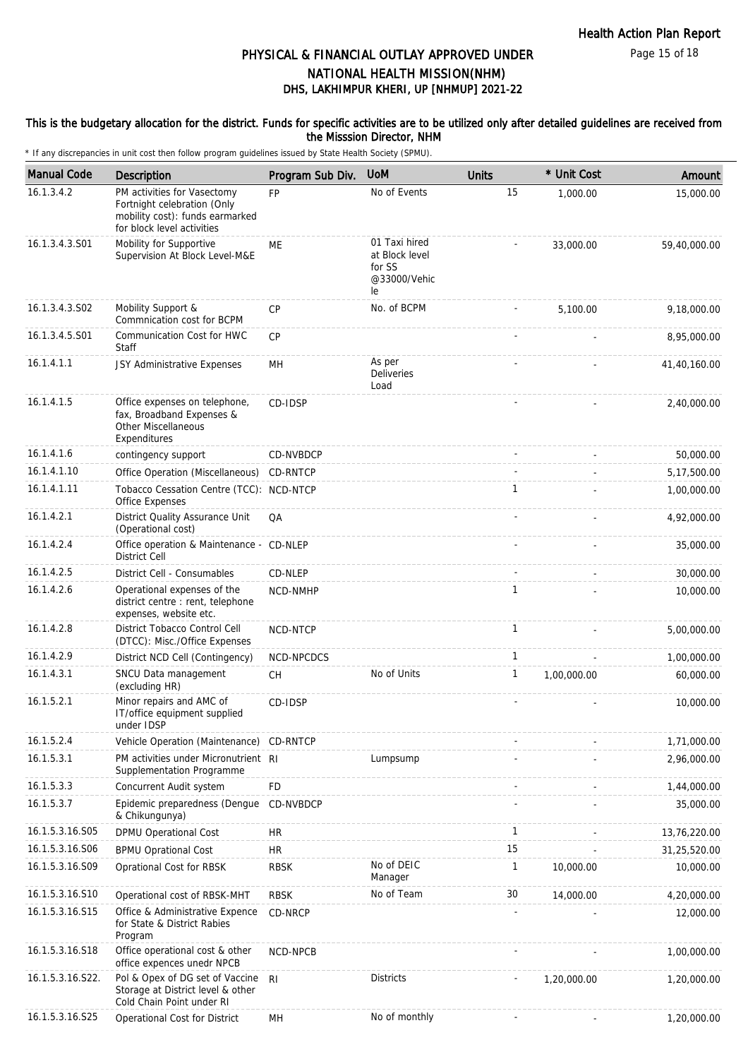Page 15 of 18

## DHS, LAKHIMPUR KHERI, UP [NHMUP] 2021-22 PHYSICAL & FINANCIAL OUTLAY APPROVED UNDER NATIONAL HEALTH MISSION(NHM)

### This is the budgetary allocation for the district. Funds for specific activities are to be utilized only after detailed guidelines are received from the Misssion Director, NHM

| <b>Manual Code</b> | Description                                                                                                                 | Program Sub Div. | <b>UoM</b>                                                      | <b>Units</b> | * Unit Cost | Amount       |
|--------------------|-----------------------------------------------------------------------------------------------------------------------------|------------------|-----------------------------------------------------------------|--------------|-------------|--------------|
| 16.1.3.4.2         | PM activities for Vasectomy<br>Fortnight celebration (Only<br>mobility cost): funds earmarked<br>for block level activities | <b>FP</b>        | No of Events                                                    | 15           | 1,000.00    | 15,000.00    |
| 16.1.3.4.3.S01     | Mobility for Supportive<br>Supervision At Block Level-M&E                                                                   | <b>ME</b>        | 01 Taxi hired<br>at Block level<br>for SS<br>@33000/Vehic<br>le |              | 33,000.00   | 59,40,000.00 |
| 16.1.3.4.3.S02     | Mobility Support &<br>Commnication cost for BCPM                                                                            | <b>CP</b>        | No. of BCPM                                                     |              | 5,100.00    | 9,18,000.00  |
| 16.1.3.4.5.S01     | Communication Cost for HWC<br><b>Staff</b>                                                                                  | <b>CP</b>        |                                                                 |              |             | 8,95,000.00  |
| 16.1.4.1.1         | JSY Administrative Expenses                                                                                                 | MН               | As per<br>Deliveries<br>Load                                    |              |             | 41,40,160.00 |
| 16.1.4.1.5         | Office expenses on telephone,<br>fax, Broadband Expenses &<br>Other Miscellaneous<br>Expenditures                           | CD-IDSP          |                                                                 |              |             | 2,40,000.00  |
| 16.1.4.1.6         | contingency support                                                                                                         | CD-NVBDCP        |                                                                 |              |             | 50,000.00    |
| 16.1.4.1.10        | Office Operation (Miscellaneous)                                                                                            | CD-RNTCP         |                                                                 | $\sim$       |             | 5,17,500.00  |
| 16.1.4.1.11        | Tobacco Cessation Centre (TCC): NCD-NTCP<br>Office Expenses                                                                 |                  |                                                                 | 1            |             | 1,00,000.00  |
| 16.1.4.2.1         | District Quality Assurance Unit<br>(Operational cost)                                                                       | QA               |                                                                 |              |             | 4,92,000.00  |
| 16.1.4.2.4         | Office operation & Maintenance - CD-NLEP<br><b>District Cell</b>                                                            |                  |                                                                 |              |             | 35,000.00    |
| 16.1.4.2.5         | District Cell - Consumables                                                                                                 | CD-NLEP          |                                                                 |              |             | 30,000.00    |
| 16.1.4.2.6         | Operational expenses of the<br>district centre : rent, telephone<br>expenses, website etc.                                  | NCD-NMHP         |                                                                 | $\mathbf{1}$ |             | 10,000.00    |
| 16.1.4.2.8         | District Tobacco Control Cell<br>(DTCC): Misc./Office Expenses                                                              | NCD-NTCP         |                                                                 | $\mathbf{1}$ |             | 5,00,000.00  |
| 16.1.4.2.9         | District NCD Cell (Contingency)                                                                                             | NCD-NPCDCS       |                                                                 | $\mathbf{1}$ |             | 1,00,000.00  |
| 16.1.4.3.1         | SNCU Data management<br>(excluding HR)                                                                                      | CH               | No of Units                                                     | $\mathbf{1}$ | 1,00,000.00 | 60,000.00    |
| 16.1.5.2.1         | Minor repairs and AMC of<br>IT/office equipment supplied<br>under IDSP                                                      | CD-IDSP          |                                                                 |              |             | 10,000.00    |
| 16.1.5.2.4         | Vehicle Operation (Maintenance)                                                                                             | CD-RNTCP         |                                                                 |              |             | 1,71,000.00  |
| 16.1.5.3.1         | PM activities under Micronutrient RI<br>Supplementation Programme                                                           |                  | Lumpsump                                                        |              |             | 2,96,000.00  |
| 16.1.5.3.3         | Concurrent Audit system                                                                                                     | <b>FD</b>        |                                                                 |              |             | 1,44,000.00  |
| 16.1.5.3.7         | Epidemic preparedness (Dengue<br>& Chikungunya)                                                                             | CD-NVBDCP        |                                                                 |              |             | 35,000.00    |
| 16.1.5.3.16.S05    | DPMU Operational Cost                                                                                                       | <b>HR</b>        |                                                                 | $\mathbf{1}$ |             | 13,76,220.00 |
| 16.1.5.3.16.S06    | <b>BPMU Oprational Cost</b>                                                                                                 | <b>HR</b>        |                                                                 | 15           |             | 31,25,520.00 |
| 16.1.5.3.16.S09    | Oprational Cost for RBSK                                                                                                    | <b>RBSK</b>      | No of DEIC<br>Manager                                           | 1            | 10,000.00   | 10,000.00    |
| 16.1.5.3.16.S10    | Operational cost of RBSK-MHT                                                                                                | <b>RBSK</b>      | No of Team                                                      | 30           | 14,000.00   | 4,20,000.00  |
| 16.1.5.3.16.S15    | Office & Administrative Expence<br>for State & District Rabies<br>Program                                                   | CD-NRCP          |                                                                 |              |             | 12,000.00    |
| 16.1.5.3.16.S18    | Office operational cost & other<br>office expences unedr NPCB                                                               | NCD-NPCB         |                                                                 |              |             | 1,00,000.00  |
| 16.1.5.3.16.S22.   | Pol & Opex of DG set of Vaccine<br>Storage at District level & other<br>Cold Chain Point under RI                           | R <sub>l</sub>   | <b>Districts</b>                                                |              | 1,20,000.00 | 1,20,000.00  |
| 16.1.5.3.16.S25    | Operational Cost for District                                                                                               | MH               | No of monthly                                                   |              |             | 1,20,000.00  |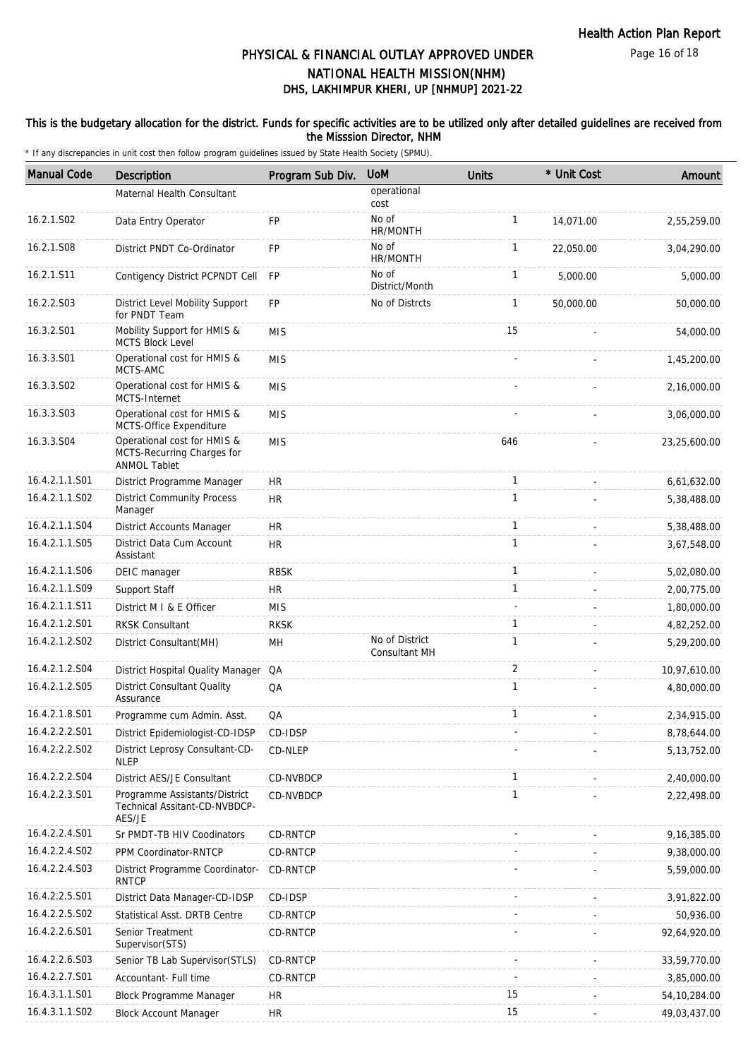### This is the budgetary allocation for the district. Funds for specific activities are to be utilized only after detailed guidelines are received from the Misssion Director, NHM

| <b>Manual Code</b> | Description                                                                      | Program Sub Div. | <b>UoM</b>                      | Units        | * Unit Cost              | Amount         |
|--------------------|----------------------------------------------------------------------------------|------------------|---------------------------------|--------------|--------------------------|----------------|
|                    | Maternal Health Consultant                                                       |                  | operational<br>cost             |              |                          |                |
| 16.2.1.S02         | Data Entry Operator                                                              | FP               | No of<br>HR/MONTH               | 1            | 14,071.00                | 2,55,259.00    |
| 16.2.1.S08         | District PNDT Co-Ordinator                                                       | FP               | No of<br>HR/MONTH               | $\mathbf{1}$ | 22,050.00                | 3,04,290.00    |
| 16.2.1.S11         | Contigency District PCPNDT Cell                                                  | <b>FP</b>        | No of<br>District/Month         | $\mathbf{1}$ | 5,000.00                 | 5,000.00       |
| 16.2.2.S03         | District Level Mobility Support<br>for PNDT Team                                 | <b>FP</b>        | No of Distrcts                  | $\mathbf{1}$ | 50,000.00                | 50,000.00      |
| 16.3.2.S01         | Mobility Support for HMIS &<br><b>MCTS Block Level</b>                           | <b>MIS</b>       |                                 | 15           |                          | 54,000.00      |
| 16.3.3.S01         | Operational cost for HMIS &<br>MCTS-AMC                                          | <b>MIS</b>       |                                 |              |                          | 1,45,200.00    |
| 16.3.3.S02         | Operational cost for HMIS &<br>MCTS-Internet                                     | <b>MIS</b>       |                                 |              |                          | 2,16,000.00    |
| 16.3.3.S03         | Operational cost for HMIS &<br>MCTS-Office Expenditure                           | <b>MIS</b>       |                                 |              |                          | 3,06,000.00    |
| 16.3.3.S04         | Operational cost for HMIS &<br>MCTS-Recurring Charges for<br><b>ANMOL Tablet</b> | <b>MIS</b>       |                                 | 646          |                          | 23,25,600.00   |
| 16.4.2.1.1.S01     | District Programme Manager                                                       | HR               |                                 | 1            | ÷.                       | 6,61,632.00    |
| 16.4.2.1.1.S02     | <b>District Community Process</b><br>Manager                                     | <b>HR</b>        |                                 | $\mathbf{1}$ |                          | 5,38,488.00    |
| 16.4.2.1.1.S04     | District Accounts Manager                                                        | HR               |                                 | 1            | $\overline{\phantom{a}}$ | 5,38,488.00    |
| 16.4.2.1.1.S05     | District Data Cum Account<br>Assistant                                           | <b>HR</b>        |                                 | 1            |                          | 3,67,548.00    |
| 16.4.2.1.1.S06     | DEIC manager                                                                     | <b>RBSK</b>      |                                 | 1            | $\overline{\phantom{a}}$ | 5,02,080.00    |
| 16.4.2.1.1.S09     | Support Staff                                                                    | <b>HR</b>        |                                 | 1            |                          | 2,00,775.00    |
| 16.4.2.1.1.S11     | District M I & E Officer                                                         | <b>MIS</b>       |                                 | ÷.           |                          | 1,80,000.00    |
| 16.4.2.1.2.S01     | <b>RKSK Consultant</b>                                                           | <b>RKSK</b>      |                                 | 1            |                          | 4,82,252.00    |
| 16.4.2.1.2.502     | District Consultant(MH)                                                          | MH               | No of District<br>Consultant MH | $\mathbf{1}$ |                          | 5,29,200.00    |
| 16.4.2.1.2.S04     | District Hospital Quality Manager QA                                             |                  |                                 | 2            | ÷.                       | 10,97,610.00   |
| 16.4.2.1.2.505     | <b>District Consultant Quality</b><br>Assurance                                  | QA               |                                 | $\mathbf{1}$ |                          | 4,80,000.00    |
| 16.4.2.1.8.S01     | Programme cum Admin. Asst.                                                       | QA               |                                 | 1            |                          | 2,34,915.00    |
| 16.4.2.2.2.S01     | District Epidemiologist-CD-IDSP                                                  | CD-IDSP          |                                 |              |                          | 8,78,644.00    |
| 16.4.2.2.2.S02     | District Leprosy Consultant-CD-<br><b>NLEP</b>                                   | CD-NLEP          |                                 |              |                          | 5, 13, 752.00  |
| 16.4.2.2.2.S04     | District AES/JE Consultant                                                       | CD-NVBDCP        |                                 | 1            |                          | 2,40,000.00    |
| 16.4.2.2.3.S01     | Programme Assistants/District<br>Technical Assitant-CD-NVBDCP-<br>AES/JE         | CD-NVBDCP        |                                 | $\mathbf{1}$ |                          | 2,22,498.00    |
| 16.4.2.2.4.S01     | Sr PMDT-TB HIV Coodinators                                                       | CD-RNTCP         |                                 |              |                          | 9,16,385.00    |
| 16.4.2.2.4.S02     | PPM Coordinator-RNTCP                                                            | CD-RNTCP         |                                 |              |                          | 9,38,000.00    |
| 16.4.2.2.4.S03     | District Programme Coordinator-<br><b>RNTCP</b>                                  | <b>CD-RNTCP</b>  |                                 |              |                          | 5,59,000.00    |
| 16.4.2.2.5.S01     | District Data Manager-CD-IDSP                                                    | CD-IDSP          |                                 |              |                          | 3,91,822.00    |
| 16.4.2.2.5.S02     | Statistical Asst. DRTB Centre                                                    | CD-RNTCP         |                                 |              |                          | 50,936.00      |
| 16.4.2.2.6.S01     | Senior Treatment<br>Supervisor(STS)                                              | CD-RNTCP         |                                 |              |                          | 92,64,920.00   |
| 16.4.2.2.6.S03     | Senior TB Lab Supervisor(STLS)                                                   | CD-RNTCP         |                                 |              |                          | 33,59,770.00   |
| 16.4.2.2.7.S01     | Accountant- Full time                                                            | CD-RNTCP         |                                 |              |                          | 3,85,000.00    |
| 16.4.3.1.1.S01     | <b>Block Programme Manager</b>                                                   | HR               |                                 | 15           |                          | 54, 10, 284.00 |
| 16.4.3.1.1.S02     | <b>Block Account Manager</b>                                                     | <b>HR</b>        |                                 | 15           |                          | 49,03,437.00   |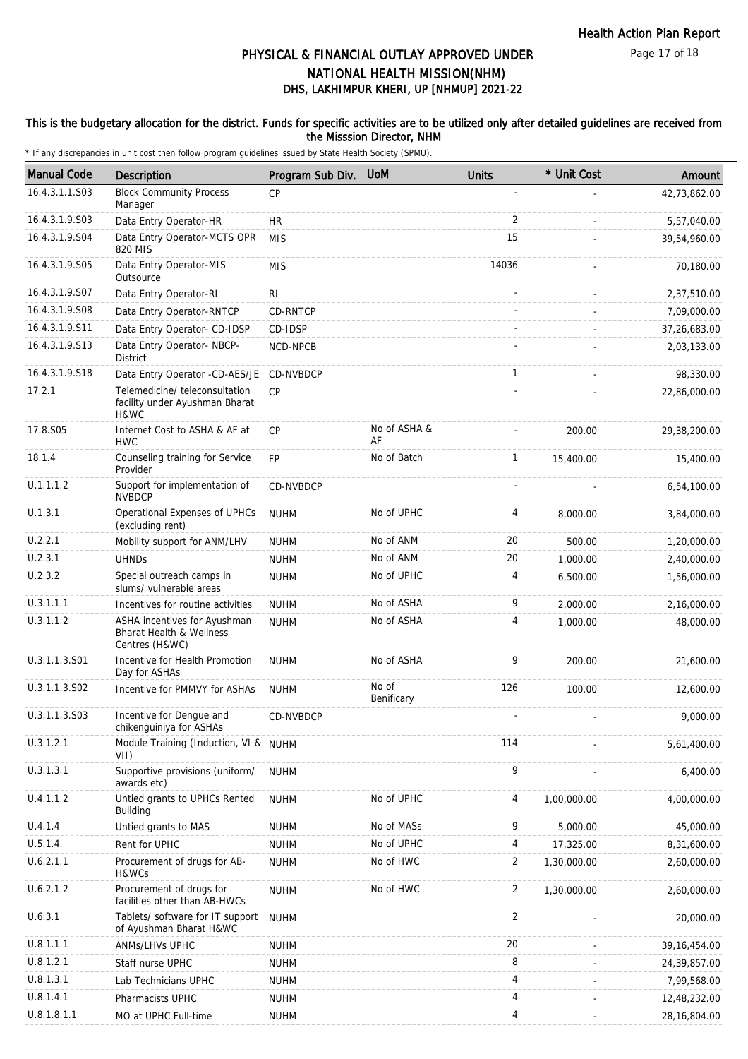### This is the budgetary allocation for the district. Funds for specific activities are to be utilized only after detailed guidelines are received from the Misssion Director, NHM

| <b>Manual Code</b> | <b>Description</b>                                                         | Program Sub Div. | <b>UoM</b>          | <b>Units</b>   | * Unit Cost | Amount         |
|--------------------|----------------------------------------------------------------------------|------------------|---------------------|----------------|-------------|----------------|
| 16.4.3.1.1.S03     | <b>Block Community Process</b><br>Manager                                  | CP               |                     |                |             | 42,73,862.00   |
| 16.4.3.1.9.S03     | Data Entry Operator-HR                                                     | <b>HR</b>        |                     | $\overline{2}$ |             | 5,57,040.00    |
| 16.4.3.1.9.S04     | Data Entry Operator-MCTS OPR<br>820 MIS                                    | <b>MIS</b>       |                     | 15             |             | 39,54,960.00   |
| 16.4.3.1.9.S05     | Data Entry Operator-MIS<br>Outsource                                       | <b>MIS</b>       |                     | 14036          |             | 70,180.00      |
| 16.4.3.1.9.S07     | Data Entry Operator-RI                                                     | RI               |                     |                |             | 2,37,510.00    |
| 16.4.3.1.9.S08     | Data Entry Operator-RNTCP                                                  | CD-RNTCP         |                     |                |             | 7,09,000.00    |
| 16.4.3.1.9.S11     | Data Entry Operator- CD-IDSP                                               | CD-IDSP          |                     |                |             | 37,26,683.00   |
| 16.4.3.1.9.S13     | Data Entry Operator- NBCP-<br><b>District</b>                              | NCD-NPCB         |                     |                |             | 2,03,133.00    |
| 16.4.3.1.9.S18     | Data Entry Operator -CD-AES/JE                                             | CD-NVBDCP        |                     | $\mathbf{1}$   |             | 98,330.00      |
| 17.2.1             | Telemedicine/ teleconsultation<br>facility under Ayushman Bharat<br>H&WC   | CP               |                     |                |             | 22,86,000.00   |
| 17.8.S05           | Internet Cost to ASHA & AF at<br><b>HWC</b>                                | <b>CP</b>        | No of ASHA &<br>AF  |                | 200.00      | 29,38,200.00   |
| 18.1.4             | Counseling training for Service<br>Provider                                | <b>FP</b>        | No of Batch         | $\mathbf{1}$   | 15,400.00   | 15,400.00      |
| U.1.1.1.2          | Support for implementation of<br><b>NVBDCP</b>                             | CD-NVBDCP        |                     |                |             | 6,54,100.00    |
| U.1.3.1            | Operational Expenses of UPHCs<br>(excluding rent)                          | <b>NUHM</b>      | No of UPHC          | 4              | 8,000.00    | 3,84,000.00    |
| U.2.2.1            | Mobility support for ANM/LHV                                               | <b>NUHM</b>      | No of ANM           | 20             | 500.00      | 1,20,000.00    |
| U.2.3.1            | <b>UHNDs</b>                                                               | <b>NUHM</b>      | No of ANM           | 20             | 1,000.00    | 2,40,000.00    |
| U.2.3.2            | Special outreach camps in<br>slums/ vulnerable areas                       | <b>NUHM</b>      | No of UPHC          | 4              | 6,500.00    | 1,56,000.00    |
| U.3.1.1.1          | Incentives for routine activities                                          | <b>NUHM</b>      | No of ASHA          | 9              | 2,000.00    | 2,16,000.00    |
| U.3.1.1.2          | ASHA incentives for Ayushman<br>Bharat Health & Wellness<br>Centres (H&WC) | <b>NUHM</b>      | No of ASHA          | 4              | 1,000.00    | 48,000.00      |
| U.3.1.1.3.S01      | Incentive for Health Promotion<br>Day for ASHAs                            | <b>NUHM</b>      | No of ASHA          | 9              | 200.00      | 21,600.00      |
| U.3.1.1.3.S02      | Incentive for PMMVY for ASHAs                                              | <b>NUHM</b>      | No of<br>Benificary | 126            | 100.00      | 12,600.00      |
| U.3.1.1.3.S03      | Incentive for Dengue and<br>chikenguiniya for ASHAs                        | <b>CD-NVBDCP</b> |                     |                |             | 9,000.00       |
| U.3.1.2.1          | Module Training (Induction, VI & NUHM<br>VII)                              |                  |                     | 114            |             | 5,61,400.00    |
| U.3.1.3.1          | Supportive provisions (uniform/<br>awards etc)                             | <b>NUHM</b>      |                     | 9              |             | 6,400.00       |
| U.4.1.1.2          | Untied grants to UPHCs Rented<br>Building                                  | <b>NUHM</b>      | No of UPHC          | 4              | 1,00,000.00 | 4,00,000.00    |
| U.4.1.4            | Untied grants to MAS                                                       | <b>NUHM</b>      | No of MASs          | 9              | 5,000.00    | 45,000.00      |
| U.5.1.4.           | Rent for UPHC                                                              | <b>NUHM</b>      | No of UPHC          | 4              | 17,325.00   | 8,31,600.00    |
| U.6.2.1.1          | Procurement of drugs for AB-<br>H&WCs                                      | <b>NUHM</b>      | No of HWC           | $\overline{c}$ | 1,30,000.00 | 2,60,000.00    |
| U.6.2.1.2          | Procurement of drugs for<br>facilities other than AB-HWCs                  | <b>NUHM</b>      | No of HWC           | $\overline{2}$ | 1,30,000.00 | 2,60,000.00    |
| U.6.3.1            | Tablets/ software for IT support<br>of Ayushman Bharat H&WC                | <b>NUHM</b>      |                     | 2              |             | 20,000.00      |
| U.8.1.1.1          | ANMs/LHVs UPHC                                                             | <b>NUHM</b>      |                     | 20             |             | 39, 16, 454.00 |
| U.8.1.2.1          | Staff nurse UPHC                                                           | <b>NUHM</b>      |                     | 8              |             | 24,39,857.00   |
| U.8.1.3.1          | Lab Technicians UPHC                                                       | <b>NUHM</b>      |                     | 4              |             | 7,99,568.00    |
| U.8.1.4.1          | Pharmacists UPHC                                                           | <b>NUHM</b>      |                     | 4              |             | 12,48,232.00   |
| U.8.1.8.1.1        | MO at UPHC Full-time                                                       | <b>NUHM</b>      |                     | 4              |             | 28, 16, 804.00 |